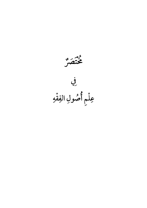م<sub>وم</sub><br>مختصر فِي عِلْمٍ أَصُولِ الفِقْهِ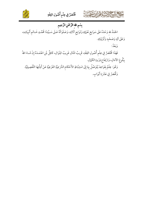



# بِسْمِ الله الرَّحْمَنِ الرَّحِيمِ

الْحَمْدُ للهِ وَحْدَهُ عَلَى سَوَابِغِ نَعْمَائِهِ وَتَوَابِعِ اَلَائِهِ، وَصَلَوَاتُهُ عَـلَى سَـيِّدِنَا مُحَمَّـدٍ خَـاتَم أَنْبِيَائِـهِ، وَعَلَى آلِهِ وَصَحْبِهِ وَأَوْلِيَائِهِ.

وَبَعْدُ:

فَهَذَا مُخْتَصَرٌ فِي عِلْم أُصُولِ الفِقْهِ، قَرِيبُ المَنَالِ غَرِيبُ المِنْوَالِ، كَافِلٌ لِمَنِ اعْتَمَـدَهُ إِنْ شَـاءَ اللهُ بِبُلُوغِ الآمَالِ، وَارْتِفَاعِ ذِرْوةِ الكَمَالِ.

وَهُوَ: عِلْمٌ بِقَوَاعِدَ يُتَوَصَّلُ بِهَا إِلَى اسْتِنْبَاطِ الأَحْكَامِ الشَّرْعِيَّةِ الفَرْعِيَّةِ عَنْ أَدِلَّتِهَا التَّفْصِيلِيَّةِ. وَثّْخُصَرُ فِي عَشْرَةِ أَبْوَابٍ.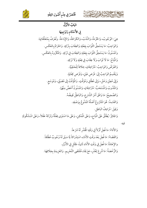





البَابُ الأَوَّلَ فِي الأَحْكَامِ وَتَوَابِعِهَا لِي الأَحْكَام وَتَوَابِ ׇׇ֦֧ هِيَ: الوُجُوبُ، وَالحُرْمَةُ، وَالنَّدْبُ، وَالكَرَاهَةُ، وَالإِبَاحَةُ ֘ تُرْمَةُ، وَالنَّدْبُ، وَالكَرَاهَةُ، وَالإِبَاحَةُ. وتُعْرَفُ بِمُتَعَلَّقَاتِهَ تَعْرَفُ بِمُتَعَلَّقَاتِهَا. ֚֬ وَالْوَاجِبُ: مَا يَسْتَحِقُّ الثوَابَ بِفِعْلِهِ وَالْعِقَابَ بِتَرْكِهِ. وَالْحَرَامُ بِالْعَكْسِ. ׇ֦֘֡ ֦  $\overline{\phantom{0}}$ .<br>S d .<br>۵ ֦ ֘֒ ļ ֦ l ׇ֦ׅ֘ واَلَمْسْنُونُ: مَا يَسْتَحِقُّ الثَّوَابَ بِفِعْلِهِ وَالعِقَابَ فِي تَرْكِهِ. وَالْمَكْرُوهُ بِالعَكْسِ. ֦  $\overline{\phantom{a}}$ .<br>S d .<br>۵ ֚֬  $\ddot{\phantom{a}}$ ֦  $\overline{\phantom{a}}$ ֚֬ وَالْمُبَاحُ: مَا لَا ثَوَابَ وَلَا عِقَابَ فِي فِعْلِهِ وَلَا تَرْكِهِ  $\overline{\phantom{a}}$ ć  $\overline{\phantom{0}}$ d مْلِهِ وَلَا تَرْكِهِ. j ֦ وَالفَرْضُ وَالوَاجِبُ: مُتَرَادِفانِ، خِلافا لِلحَنَفِيَّةِ. ֦֧ ֦֧ .<br>۵  $\overline{a}$  $\ddot{\phantom{0}}$  $\overline{a}$ ĺ وَيَنْقَسِمُ الوَاجِبُ إِلَى: فَرْضِ عَيْنٍ، وَفَرْضِ كِفَايَةٍ j ֦֧ l فَرْضِ عَيْنٍ، وَفَرْضِ كِفَايَةٍ. وَإِلَى مُعِيَّنٍ وَخَيَّرٍ، وَإِلَى مُطْلَقٍ وَمُؤَقَّتٍ وَإِلَى مُعِيَّنٍ وَخَيَّرٍ ، وَإِلَى مُطْلَقٍ وَمُؤَقَّتٍ. وَالْمُؤَقَّتُ إِلَى مُضَيَّقٍ، وَمُوَسِّعٍ. j j وَالْمَنْدُوبُ وَالْمُسْتَحَبُّ: مُتَرَادِفَانِ، وَالْمُسْنُونُ أَخَصَّ مِنْهُمَا. ֦  $\overline{a}$ ĺ وَالصَّحِيحُ : مَا وَافَقَ أَمْرَ الشَّارِعِ، وَالبَاطِلُ نَقِيضُهُ j مَا وَافَقَ أَمْرَ الشَّارِعِ، وَالبَاطِلُ نَقِيضُهُ. l. وَالفَاسِدُ: هُوَ المَشْرُوعُ أَصْلُهُ المَدْنُوعُ بِوَصْفِهِ.  $\overline{a}$ .<br>۵ ׇ֦֘ وَقِيلَ: مُرَادِفُ البَاطِلِ.  $\ddot{\phantom{0}}$  $\overline{a}$ وَالْحَائِزُ: يُطْلَقُ عَلَى الْمُبَاحِ، وَعَلَى الْمُمْكِنِ، وَعَلَى مَا اسْتَوَى فِعْلُهُ وَتَرْكَهُ عَقْلاً، وَعَلَى الَمشْكُوكِ ׅ֘֒ ì  $\overline{\phantom{a}}$ لْلَقُ عَلَى الْمَبَاحِ، وَعَلَى الْمُمْكِنِ، وَعَلَى مَا اسْتَوَى فِعْلَهُ وَتَرْكَهُ عَقْلاً، وَعَلَى المَشْكُ قَّ عَلَى المُبَاحِ، وَعَلَى الْمُكْرِ

فِيهِ ì فيهِ.

وَالأَدَاءُ: مَا فُعِلَ أَوَّلاً فِي وَقْتِهِ الْمُقَدَّرِ لَهُ شَرْعاً.  $\overline{\phantom{a}}$ l. ֦  $\ddot{\phantom{0}}$ ֦ وَالقَضَاءُ: مَا فُعِلَ بَعْدَ وَقْتِ الأَدَاءِ، اسْتِدْرَاكاً لِلَا سَبَقَ لَهُ وُجُوبٌ مُطْلَقاً.  $\overline{\phantom{a}}$  $\ddot{\phantom{0}}$ ֦  $\overline{\phantom{a}}$ والإِعَادَةُ: مَا فُعِلَ فِي وَقْتِ الأَدَاءِ ثَانِياً، لِخَلَلٍ فِي الأَوِّلِ ֚֡ مَا فُعِلَ فِي وَقْتِ الأَدَاءِ ثَانِياً، لِخَلَلٍ فِي الأَوِّلِ. ; ֧֦֧֢ׅ֦֧֦֧ׅ֖֖֖֖֖֖֖ׅ֧֪ׅ֧ׅ֧ׅ֧ׅ֧ׅ֧ׅ֧ׅ֧ׅ֧֚֚֚֚֚֚֚֚֚֬֝֝֜֝֓֝֝֓֝֓֝֬֜֜֓֡֬֝֜֜֜֝  $\vdots$  $\ddot{\phantom{0}}$ ֦ j وَالرُّخْصَةُ: مَا شُرِعَ لِعُذْرٍ، مَعَ بَقَاءِ مُقْتَضَى التَّحْرِيمِ  $\ddot{\phantom{0}}$ مَا شُرِعَ لِعُذْرٍ، مَعَ بَقَاءِ مُقْتَضَى التَّحْ شُرِعَ لِعُذْرٍ، مَعَ بَقَاءِ مُقْتَضَى التَّحْرِيمِ. وَالعَزِيمَةِ بِخِلَافِهَا. l  $\overline{\phantom{a}}$ ;<br>; .<br>ف ֘֒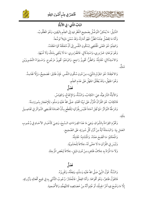



# .<br>البَابُ الثَّانِي : فِي الأَدِلَّةِ

الدَّلِيلُ: مَا يُمْكِنُ التَّوَصُّلُ بِصَحِيحِ النَّظَرِ فِيهِ إِلَى العِلْمِ بِاليَقِينِ، وَهُوَ المَطْلُوبُ. وَأَمَّا مَا يَحْصُلُ عِنْدَهُ الظَّنُّ: فَهُوَ أَمَارَةٌ، وَقَدْ سُمِّيَ دَلِيلاً تَوَسُّعاً. وَالعِلْمُ: هُوَ الَمْنَى الْمُقْتَضِي لِسُكُونِ النَّفْسِ إِلَى أَنَّ مُتَعَلَّقَهُ كَمَا اعْتَقَدَهُ. وَهُوَ نَوْعَانِ: ضَرُورِي، وَاسْتِدْلَالِي. فَالضَّرُورِي: مَا لَا يَنْتَفِي بِشَكٍّ وَلَا شُبْهَةٍ. وَالاسْتِدْلَالِي: مُقَابِلُهُ. وَالظَّنُّ: تَجْوِيزُ رَاجِحٍ. وَالوَهْمُ: تَجْوِيزُ مَرْجُوحٍ. وَاسْتِوَاءُ التَّجْوِيزَيْنِ ە<br>شاڭ

وَالاعْتِقَادُ: هُوَ الجَزْمُ بِالشَّيْءِ، مِنْ دُونِ سُكُونِ النَّفْسِ. فَإِنْ طَابَقَ: فَصَحِيحٌ، وَإِلَّا فَفَاسِدٌ. وَهُوَ الْجَهْلُ، وَقَدْ يُطْلَقُ الْجَهْلُ عَلَى عَدَمِ العِلْمِ. فَضَأْ

وَالأَدِلَّةُ الشَّرْعِيَّةُ، هِيَ: الكِتَابُ، وَالسُّنَّةُ، وَالإِجْمَاعُ، وَالْقِيَاسُ. فَالكِتَابُ: هُوَ القُرْآنُ الْمَنَّزَّلُ عَلَى نَبِيِّنَا مُحَمَّدٍ صَلَّى اللهُ عَلَيْهِ وَسَلَّمَ ، لِلإعْجَازِ بسُورَةٍ مِنْهُ. وَشَرْطُهُ التَّوَاتُرُ: فَمَا نُقِلَ آحَاداً فَلَيْسَ بِقُرْآنٍ؛ لِلْقَطْعِ بِأَنَّ العَـادَةَ تَقْتَضِي التَّـوَاتُرَ فِي تَفَاصِـيلَ مثْله.

وَتَحْرُمَ القِرَاءَةُ بِالشَّوَاذِ، وَهِيَ مَا عَدَا القِرَاءَاتِ السَّبِعَ، وَهِيَ كَأَخْبَارِ الآحَادِ فِي وُجُـوب العَمَل بِهَا. وَالبَسْمَلَةُ آيَةٌ مِنْ أَوَّلِ كُلِّ سُورَةٍ، عَلَى الصَّحِيحِ. وَالْمُحْكَمُ: مَا اتَّضَحَ مَعْنَاهُ. وَالْمَتَشَابِهُ: مُقَابِلُهُ. وَلَيْسَ فِي القُرْآنِ مَا لَا مَعْنًى لَهُ، خِلَافاً لِلْحَشْوِيَّةِ. وَلَا مَا الْمَرَادُ بِهِ خِلَافُ ظَاهِرِهِ مِنْ دُونِ دَلِيلِ، خِلَافاً لِبَعْضِ الْمُرْجِئَةِ.

#### فَصْلٌ

وَالسُّنَّةُ: قَوْلُ النَّبِيِّ صَلَّى اللهُ عَلَيْهِ وَسَلَّمَ، وَفِعْلُهُ، وَتَقْرِيرُهُ. فَالقَوْلُ ظَاهِرٌ، وَهُوَ أَقْوَاهَا. وَأَمَّا الفِعْلُ: فَالْمُخْتَارُ: وُجُوبُ التَّأَسِّي بِهِ فِي جَمِيع أَفْعَالِهِ وَتُرُوكِهِ. إِلَّا مَا وَضُحَ فِيهِ أَمْرُ الْجِبلَّةِ، أَوْ عُلِمَ أَنَّهُ مِنْ خَصَائِصِهِ كَالتَّهَجُّدِ وَالأُضْحِيةِ.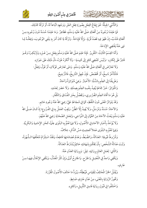

وَالتَّأَسِّي الْجِبِلَّةُ: هُوَ إِيقَاعُ الفِعْلِ بِصُورَةِ فِعْلِ الغَيْرِ وَوَجْهِهِ اتِّبَاعاً لَهُ، أَوْ تَرْكُهُ كَذَلِكَ.

فَمَا عَلِمْنَا وُجُوبَهُ مِنْ أَفْعَالِهِ صَلَّى اللهُ عَلَيْهِ وَسَلَّمَ، فَظَاهِرٌ. وَمَا عَلِمْنَا حُسْنَهُ دُونَ وُجُوبِهِ مِـنْ أَفْعَالِهِ فَنَدْبٌ، إِنْ ظَهَرَ فِيهِ قَصْدُ قُرْبَةٍ. وَإِلَّا فَإِبَاحَةٌ. وَتَرْكُهُ لِما كَانَ أَمَرَ بِهِ يَنْفِي الوُجُوبَ، وَفِعْلُـهُ لِما نَهَى عَنْهُ يَقْتَضِي الإِبَاحَةَ.

وَأَمَّا القِسْمُ الثَّالِثُ: التَّقْرِيرُ. فَإِذَا عَلِمَ صَلَّى اللهُ عَلَيْهِ وَسَلَّمَ بِفِعْلٍ مِـنْ غَـيْرِهِ وَلَمْ يُنْكِـرْهُ وَهُـوَ قَادِرٌ عَلَى إِنْكَارِهِ –وَلَيْسَ كَمُضِي كَافِرِ إِلَى كَنِيسَةٍ– وَلَا أَنْكَرَهُ غَيْرَهُ، دَلَّ ذَلِكَ عَلَى جَوَازِهِ.

وَلَا تَعَارُضَ فِي أَفْعَالِهِ صَلَّى اللهُ عَلَيْهِ وَسَلَّمَ. وَمَتَى تَعَارَضَ قَوْلَانِ، أَوْ قَوْلٌ وَفِعْلٌ: فَالْمَأَخَّرُ نَاسِخٌ، أَوْ مُخَصِّصٌ . فَإِنْ جُهِلَ التَّارِيخُ، فَالتَّرْجِيحُ.

وَطَرِيقُنَا إِلَى العِلْمِ بِالسُّنَّةِ: الأَخْبَارُ. وَهِيَ مُتَوَاتِرَةٌ وَآحَادٌ.

وَالْمَتَوَاتِرُ: خَبَرُ جَمَاعَةٍ يُفِيدُ بِنَفْسِهِ العِلْمَ بِصِدْقِهِ. وَلَا حَصْرَ لِعَدَدِهِ.

بَلْ هُوَ مَا أَفَادَ العِلْمَ الضَّرُورِي، وَيَحْصُلُ بِخَبَرِ الفُسَّاقِ وَالكُفَّارِ.

وَقَدْ يَتَوَاتَرُ المَعْنَى دُونَ اللَّفْظِ، كَمَا فِي شَجَاعَةِ عَلِيٍّ رَضِيَ اللهُ عَنْهُ وَجُودِ حَاتِم.

وَالآحَادُ: مُسْنَدٌ وَمُرْسَلٌ، وَلَا يُفِيدُ إِلَّا الظَّنَّ. وَيَجِبُ العَمَلُ بِهِ فِي الفُرُوعِ؛ إِذْ كَـانَ صَـلَّى اللهُ عَلَيْهِ وَسَلَّمَ يَبْعَثُ الآحَادَ مِنَ العُمَّالِ إِلَى النَّوَاحِي، وَلِعَمَلِ الصَّحَابَةِ رَضِيَ اللهُ عَنْهُمْ.

وَلَا يُؤْخَذُ بِأَخْبَارِ الآحَادِ فِي الأُصُولِ، وَلَا فِيهَا تَعُمُّ بِهِ البَلْوَى عِلْمًا، كَخَبَرِ الإمَامِيةِ وَالبَكْرِيَّةِ. وَفِيهَا تَعُمُّ بِهِ البَلْوَى عَمَلاً كَحِلِيثِ مَسِّ الذَّكَرِ، خِلَافٌ.

وَشُرُ وطُ قَبُولِهَا: العَدَالَةُ، وَالضَّبْطُ، وَعَدَمُ مُصَادَمَتِهَا قَاطِعاً، وَفَقْدُ اسْتِلْزَامُ مُتَعَلَّقهَا الـشُّهْرَةُ، وَثَبَتَ عَدَالَةُ الشَّخْص: بِأَنْ يَحْكُمَ بِشَهَادَتِهِ حَاكِمٌ يُشْتَرَطُ العَدَالَةُ.

وَالثَّانِي: لِعَمَلِ العَالِمِ بِرِوَايَتِهِ. قِيلَ: وَبِرِوَايَةِ العَدْلِ عَنْهُ.

وَيَكْفِي وَاحِدٌ فِي التَّعْدِيلِ وَالجَرْحِ. وَالجَارِحُ أَوْلَى وَإِنْ كَثُرَ الْمَعَدِّلُ، وَيَكْفِي الإِجْمَالُ فِيهَـا مِـنْ عَارِفٍ.

> وَيُقْبَلُ الخَبَرُ الْمُخَالِفُ لِلْقِيَاسِ فَيُبْطِلُهُ، وَيُرَدُّ مَا خَالَفَ الأُصُولَ الْمَقَرَّرَةَ. وَتَجَوزُ الرِّوَايَةِ بِالْمَعْنَى، مِنْ عَدْلِ عَارِفٍ ضَابِطٍ. وَاخْتَلَفُوا فِي قَبُولِ رِوَايَةِ فَاسِقِ التَّأْوِيلِ، وَكَافِرِهِ.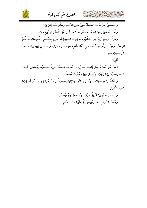غُنْصَرٌ فِي عِلْمِ أُصُولِ الفِقْهِ



وَالصَّحَابِيُّ: مَنْ طَالَتْ مُجَالَسَتُهُ لِلنَّبِيِّ صَلَّى اللهُ عَلَيْهِ وَسَلَّمَ مُتَّبِعاً لِشَرْعِهِ. وَكُلُّ الصَّحَابَةِ رَضِيَ اللهُ عَنْهُمْ عُدُولٌ، إِلَّا مَنْ أَبَى. عَلَى الْمُخْتَارِ فِي جَمِيع ذَلِكَ.

وَطُرُقُ الرِّوَايَةِ أَرْبَعٌ: قِرَاءَةُ الشَّيْخِ، ثُمَّ قِـرَاءَةُ التِّلْمِيــٰذِ أَوْ غَـيْرِهِ بِمَحْـضَرِهِ، ثُـمَّ الْمَنَاوَلَـةُ، ثُـمَّ الإِجَازَةُ. وَمَنْ تَيَقَّنَ أَوْ ظَنَّ أَنَّهُ قَدْ سَمِعَ جُمْلَةَ كِتَابٍ مُعَيَّنٍ جَازَ لَهُ رِوَايَتُهُ وَالعَمَلُ بِهَا فِيهِ، وَإِنْ لَمْ يَذْكُرْ كُلِّ حَلِيثٍ بِعَيْنِهِ.

ىئىيە.<br>تىبيە:

كَامِ شِيمٍ الإِيمَا لِهَا بِنَ عَيْدَةٍ

الخَبَرُ: هُوَ الكَلَامُ الَّذِي لِنسْبَتِهِ خَارِجٌ. فَإِنْ تَطَابَقَـا فَـصِدْقٌ، وَإِلَّا فَكَـذَبٌ. وَيُـسَمَّى الخَـبَرُ: جُمْلَةً، وَقَضِيَّةً. وَإِذَا رُكِّبَتِ الجُمْلَةُ فِي دَلِيلِ، سُمِّيَتْ مُقَدِّمَةٌ.

وَالتَّنَاقُضُ: هُوَ اخْتِلَافُ الجُمْلَتَيْنِ بِالنَّفِي وَالإِثْبَاتِ، بِحَيْثُ يَسْتَلْزِمُ لِذَاتِهِ: صِـدْقُ أَحَـدِهِمَا كَذِبَ الأُخْرَى.

> وَالعَكْسُ الْمُسْتَوِي: تَحْوِيلُ جُزْئَي الجُمْلَةِ عَلَى وَجْهٍ يُصَدَّقُ. وَعَكْسُ النَّقِيضِ: جَعْلُ نَقِيضَ كُلِّ مِنْهُمَا مكَانَ الآخَرِ.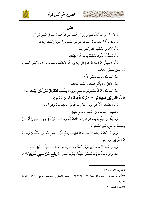



## فَصْلٌ

وَالإِجْمَاعُ: هُوَ اتِّفَاقُ الْمُجْتَهِدِينَ مِنْ أُمَّةٍ مُحَمَّدٍ صَلَّى اللهُ عَلَيْهِ وَسَلَّمَ فِي عَصْرِ عَلَى أَمْرِ. وَالْمُخْتَارُ: أَنَّهُ لَا يُشْتَرَطُ فِي انْعِقَادِهِ انْقِرَاضُ العَصْرِ، وَلَا كَوْنُهُ لَمْ يَسْبقْهُ خِلَافٌ. وَأَنَّهُ لَابُدَّ مِنْ مُسْتَنَدٍ، وَإِنْ لَمْ يُنْقَلْ إِلَيْنَا.

وَأَنَّهُ يَصِحُّ أَنْ يَكُونَ مُسْتَنَدُهُ قِيَاساً، أَوِ اجْتِهَاداً.

وَأَنَّهُ لَا يَصِحُّ إِجْمَاعٌ بَعْدَ الإجْمَاعِ عَلَى خِلَافِهِ. وَأَنَّهُ لَا يَنْعَقِدُ بِالشَّيْخِينِ، وَلَا بَالأَرْبَعَةِ الخُلَفَاءِ، وَلَا بِأَهْلِ الْمَدِينَةِ وَحْدَهُمْ.

قَالَ أَصْحَابُنَا: إِذْ هُمْ بَعْضُ الأُمَّةِ.

E A PINE A

قَالَ الأَكْثَرُ : وَلَا بِأَهْلِ البَيْتِ وَحْدَهُمْ كَذَلِكَ.

قَالَ أَصْحَابُنَا: جَمَاعَةٌ مَعْصُومُونَ، بِدَلِيلٍ قَوْلِهِ: ﴿لِيُذْهِبَ عَنْكُمُ الرَّجْسَ أَهْلَ الْبَيْتِ ...﴾''' الآيَةُ، «**أَهْلُ بَيْتِي كَسَفِينَةِ نُوح**»<sup>٬››</sup>، «**إِنِّي تَارِكٌ فِيكُمُ الخَبَرَيْنِ**» وَنَحْوِهِمَا.

وَإِذَا اخْتَلَفَتِ الأُمَّةُ عَلَى قَوْلَيْنِ جَازَ إِحْدَاثُ قَوْلٍ ثَالِثٍ، مَا لَمْ يَرْفَعِ الأَوْلَيْنِ.

وَكَذَلِكَ: إِحْدَاثُ دَلِيلِ وَتَعْلِيلِ وَتَأْوِيلِ ثَالِثٍ.

وَطَرِيقُنَا إِلَى العِلْمِ بِانْعِقَادِ الإِجْمَاعِ: إِمَّا الْمُشَاهَدَةُ، وَإِمَّا النَّقْلُ عَنْ كُلّ مِـنَ الْمُجْمِعِـينَ أَوْ عَـنْ بَعْضِهِمْ مَعَ نَقْلٍ رِضَى السَّاكِتِينَ.

وَيُعْرَفُ رِضَاهُمْ: بَعَدَمِ الإِنْكَارِ مَعَ الاشْتِهَارِ، وَعَدَم ظُهُورِ حَامِلِ لَهُمْ عَلَى السُّكُوتِ وَكَوْنُـهُ مِمَّا الْحَقُّ فِيهِ مَعَ وَاحِدٍ.

وَيُسَمَّى هَذَا إجْمَاعاً سُكُوتِياً، وَهُوَ حُجَّةٌ وَإِنْ نُقِلَ تَواتُراً، وَكَذَلِكَ القَوْلُ إِنْ نُقِلَ آخاداً.

فَإِنْ تَوَاتَرَ فَحُجَّةٌ قَاطِعَـةٌ يُفَسَّقُ مُخَالِفُـهُ؛ لِقَوْلِـهِ تَعَـالَى: ﴿وَيَتَّبِـعُ غَـيْرَ سَـبِيلِ الْمُؤْمِنِينَ﴾ "،

(١) سورة الأحزاب: ٣٣.

(٢) أخرجه الطبراني في «المعجم الأوسط» (٥/ ٣٠٦/ ٥٣٩٠)، وضعفه الألبـاني في «ضـعيف الجـامع» (١٩٧٤)، وقـال: «ضعيف».

(٢) سورة النساء: ١١٥.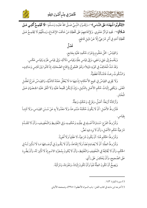



.<br>﴿لِتِكُونُوا شُهَدَاءَ عَلَى النَّـاسِ﴾ "، وَلِقَـوْلِ النَّبِـىِّ صَـلَّى اللهُ عَلَيْـهِ وَسَـلَّمَ: «لَا تَجْتَوِـمُ أُمَّتِـى عَـلَى **ضَلَالَةٍ**» ( فَفِيهِ تَوَاتُرٌ مَعْنَوِي. وَلِإِجْمَاعِهِمْ عَلَى تَخْطِئَةِ مَنْ خَالَفَ الإِجْمَاعَ، وَمِـثْلُهُمْ لَا يَجْتَمِـعُ عَـلَى تَّخْطِئَةِ أَحَدٍ فِي أَمْرٍ شَرْعِيٍّ إِلَّا عَنْ دَلِيلٍ قَاطِعٍ.

# بر و.<br>فصل

وَالقِيَاسُ: حَمْلُ مَعْلُوم بِإِجْرَاءِ حُكْمِهِ عَلَيْهِ بِجَامِعٍ.

وَيَنْقَسِمُ إِلَى جَلِي وَخَفِي، وَإِلَى قِيَاسٍ عِلَّةٍ وَقِيَاسٍ دَلَالَةٍ، وَإِلَى قِيَاسٍ طَرْدٍ وَقِيَاس عَكْس.

وَقَدْ شَذَّ الْمُخَالِفُ فِي كَوْنِهِ دَلِيلاً؛ وَهُوَ مَحْجُوجٌ بِإِجْمَاعِ الصَّحَابَةِ، إِذْ كَانُوا بَيْنَ قَائِسِ وَسَاكِتٍ، وَالسُّكُوتُ رِضاً، فَالَمْلَأَلَةُ قَطْعِيَّةٌ.

وَلَا يَجْرِي القِيَاسُ فِي جَمِيعِ الأَحْكَامِ؛ إِذْ فِيهَا مَا لَا يُعْقَلُ مَعْنَاهُ كَالدِّيَّةِ، وَالقِيَـاسُ فَـرْعُ تَعَقُّـل المَعْنَى. وَيَكْفِي إِثْبَاتُ حُكْمِ الأَصْلِ بِالدَّلِيلِ، وَإِنْ لَمْ يَكُنْ مُجْمِعاً عَلَيْهِ وَلَا اتَّفَقَ عَلَيْهِ الخِصْمَانِ عَـلَى الْمُخْتَارِ.

وَأَرْكَانُهُ أَرْبَعَةٌ: أَصْلُ، وَفَرْعٌ، وَحُكْمٌ، وَعِلَّةٌ.

فَشْرُوطُ الأَصْلِ: أَنْ لَا يَكُونَ حُكْمُهُ مَنْسُوخاً، وَلَا مَعْدُولاً بِهِ عَنْ سُـنَنِ القِيَـاسِ، وَلَا ثَابِتـاً بقِيَاس.

وَشُرُوطُ الفَرْعِ: مُسَاوَاةُ أَصْـلِهِ فِي عِلَّتِـهِ وَحُكْمِـهِ، وَفِي التَّغْلِـيظِ وَالتَّخْفِيـفِ، وَأَنْ لَا تَتَقَـدَّمَ شَرْعِيَّةُ حُكْمِ الأَصْلِ، وَأَنْ لَا يَرِد فِيهِ نَصٌّ.

وَشُرُوطُ الحُكْمِ هُنَا: أَنْ يَكُونَ شَرْعِيّاً، لَا عَقْلِياً وَلَا لُغَوِيّاً.

وَشُرُوطُ العِلَّةِ: أَنْ لَا يُصَادِمَ نَصّاً وَلَا إِجْمَاعاً، وَأَنْ لَا يَكُـونَ فِي أَوْصَـافِهَا مَـا لَا تَـأْثِيرَ لَـهُ فِي الحُكْم، وَأَنْ لَا يُخَالِفَهُ فِي التَّخْفِيفِ وَالتَّغْلِيظِ، وَأَنْ لَا يُكَونَ بِمُجَرَّدِ الاسْم إِذْ لَا تَأْثِيرَ لَهُ، وَأَنْ يَطَّرِدَ عَلَى الصَّحِيحِ، وَأَنْ يَنْعَكِسَ عَلَى رَأْيٍ.

وَيَصِحُّ أَنْ تَكُونَ العِلَّةُ نَفْياً وَأَنْ تَكُونَ إِثْبَاتاً، وَمُفْرَدَةً، وَمُرَكَّبَةً.

(٤) سورة البقرة: ١٤٣.

(°) أخرجه ابن ماجه في كتاب الفتن- باب السواد الأعظم (٣٩٥٠)، وصححه الألباني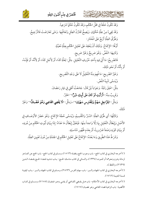



كالحشيخ الشاهابرتونية

وَقَدْ تَكُونُ خَلْقاً فِي مَحَلِّ الحُكْم، وَقَدْ تَكُونُ حُكْماً شَرْعِياً. وَقَدْ يَجِيءُ مِنْ عِلَّةٍ حُكْمَانِ. وَيَصِحُّ تَقَارُنُ العِلَل وَتَعَاقُبِهَا. وَمَتَى تَعَارَضَتْ فَالتَّرْجِيحُ.

وَطُرُقُ العِلَّةِ أَرْبَعٌ عَلَى الْمُخْتَارِ:

أَوَّلُهَا: الإِجْمَاعُ. وَذَلِكَ أَنْ يَنْعَقِدَ عَلَى تَعْلِيلِ الْحُكْمِ بِعِلَّةٍ مُعَيَّنَةٍ.

وَثَانِيهَا: النَّصُّ. وَهُوَ صَرِيحٌ وَغَيْرُ صَرِيحٍ.

فَالصَّرِيحُ: مَا أُتِيَ فِيهِ بِأَحَدِ حُرُوفِ التَّعْلِيلِ. مِثْلُ: لِعَلَّةِ كَذَا، أَوْ لِأَجْلِ كَذَا، أَوْ لِأَنَّهُ، أَوْ فَإِنَّـهُ، أَوْ بِأَنَّهُ، أَوْ نَحْو ذَٰلِكَ.

> وَغَيْرُ الصَّرِيح: مَا فُهِمَ مِنْهُ التَّعْلِيلُ لَا عَلَى وَجْهِ التَّصْرِيح. وَيُسَمَّى تَنْبِيهُ النَّصِّ. مِثْلُ: اعْتِقْ رَقَبَةً. وَجَوَاباً لَمِنْ قَالَ: جَامَعْتُ أَهْلِي فِي نَهْارِ رَمَضَانَ.

وَقَرِيبٌ مِنْهُ: «**أَرَأَيْتِ لَوْ كَانَ عَلَى أَبِيكِ دَيْنٌ**» الخَبْرُ.

وَمِثْلُ: «لِلرَّاجِلِ سَهْمٌ وَلِلْفَارِسِ سَهْمَانِ» »، وَمِثْلُ: «لَا يَقْضِي القَاضِي وَهُوَ غَضْبانٌ» وَغَيْرُ ذَلكَ.

وَثَالِثُهَا: أَي طُرُقِ العِلَّةِ: السَّبْرُ وَالتَّقْسِيمُ، وَيُسَمَّى حُجَّةَ الإِجْمَاعِ. وَهُوَ حَصْرُ الأَوْصَـافِ فِي الأَصْلِ وَإِبْطَالُ التَّعْلِيلِ بِهَا إِلَّا وَاحِداً مِنْهَا. فَيَتَعَيَّنُ إِبْطَالُ مَا عَدَاهُ: إِمَّا بِبَيَانِ ثُبُوتِ الحُكْمِ مِنْ دُونِهِ، أَوْ بِبَيَانِ كَوْنِهِ وَصْفاً ضَرُورِياً، أَوْ بِعَدَم ظُهُورِ مُنَاسبَتِهِ.

وَشَرْطُ هَذَا الطَّرِيقِ وَمَا بَعْدَهُ: الإِجْمَاعُ عَلَى تَعْلِيلِ الْحُكْمِ فِي الْجَمْلَةِ مِنْ دُونَ تَعْيينِ العِلَّةِ.

(`) أخرجه البخاري في كتاب الحج- باب وجوب الحج وفضله (١٥١٣)، ومسلم في كتاب الحج- باب الحج عن العـاجز لزمانة وهرم ونحوهما أو للموت (١٣٣٤)، والنسائي في كتاب مناسك الحـج- بـاب تـشبيه قـضاء الحـج بقـضاء الـدين (٢٦٣٩)، واللفظ له.

(٧) أخرجه البخاري في كتاب الجهاد والسير- باب سهام الفرس (٢٨٦٣)، ومسلم في كتاب الجهاد والسير- بـاب كيفيـة قسمة الغنيمة (١٧٦٢).

(^) أخرجه البخاري في كتاب الأحكام- باب هـل يقـضي القـاضي أو يفتـي وهـو غـضبان (٧١٥٨)، ومـسلم في كتـاب الأقضية- باب كراهية قضاء القاضي وهو غضبان (١٧١٧).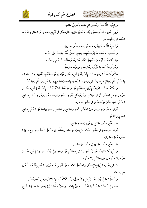

وَرَابِعُهَا: الْمَاسَبَةُ. وَتُسَمَّى الإِخَالَةَ، وَتَخْرِيجُ الْمَاطِ.

وَهِيَ: تَعْيِينُ العِلَّةِ بِمُجَرَّدِ إِبْدَاءِ مُنَاسَبَةٍ ذَاتِيةٍ. كَالإِسْكَارِ فِي تَحْرِيمِ الخَمْرِ، وَكَالجِنَايَـةِ العَمْـدِ العُدْوَانِ فِي القِصَاصِ.

وَتَنْخَرِمُ الْمَاسَبَةُ: بِلِزُوم مَفْسَدَةٍ رَاجِحَةٍ، أَوْ مُسَاوِيَةٍ.

وَالْمَاسبُ: وَصْفٌ ظَاهِرٌ مُنْضَبِطٌ، يَقْضِي العَقْلُ بِأَنَّهُ البَاعِثُ عَلَى الحُكْم. فَإِنْ كَانَ خَفِيّاً أَوْ غَيْرَ مُنْضَبِطٍ: اعْتُبِرَ مُلَازِمُهُ وَمَظَنّتُهُ. كَالسَّفَرِ لِلْمَشَقّةِ. وَهُوَ أَرْبَعَةُ أَقْسَام: مُؤَثَّرٌ، وَمُلَائِمٌ، وَغَرِيبٌ، وَمُرْسَلٌ.

فَالأَوَّلُ: الْمُؤِثَّرُ: وَهُوَ مَا ثَبَتَ بِنَصٍّ أَوْ إِجْمَاعِ، اعْتِبَارُ عَيْنِهِ فِي عَيْنِ الحُكْمِ. كَتَعْلِيلِ وِلَايَـةِ المَـالِ بِالصِّغَرِ الثَّابِتِ بِالإِجْمَاعِ، وَكَتَعْلِيلِ وُجُوبِ الوُضُوءِ بِالحَدَثِ الخَارِجِ مِنَ السَّبِيلَيْنِ الثَّابِتِ بِالنَّصِّ.

وَالْمُلَائِمُ: مَا ثَبَتَ اعْتِبَارُهُ بِتَرْتِيبِ الحُكْمِ عَلَى وفقِهِ فَقَطْ، لَكِنَّهُ قَدْ ثَبَتَ بِنَصِّ أَوْ إِجْمَاع، اعْتِبَـارُ عَيْنِهِ فِي جِنْسِ الحُكْمِ. كَمَا ثَبَتَ لِلْأَبِ وِلَايَةُ نِكَاحِ ابْنَتِهِ الصَّغِيرَةِ قِيَاسـاً عَـلَى وِلَايَـةِ المَـالِ بِجَـامِعِ الصِّغَرِ. فَقَدِ اعْتُبَرَ عَيْنُ الصِّغَرِ فِي جِنْسِ الوِلَايَةِ.

أَوْ ثَبَتَ اعْتِبَارُ جِنْسِهِ فِي عَيْنِ الحُكْمِ. كَجَوَازِ الجَمْعِ فِي الحَضَرِ لِلْمَطَرِ قِيَاساً عَلَى السَّفَرِ بِجَامِعِ الحَرَج وَالْمَشَقَّةِ.

فَقَدِ اعْتُبِرَ جِنْسُ الحَرَجِ فِي عَيْنِ رُخْصَةِ الجَمْعِ.

أَوِ اعْتِبَارَ جِنْسِهِ فِي جِنْسِ الحُكْمِ. كَإِثْبَاتِ القِصَاصِ بِالْمُقَّلِ قِيَاساً عَلَى الْمَحَدَّدِ بِجَـامِعِ كَوْنِهَـا جنَايَةِ عَمْدٍ، عُدْوَانٍ.

فَقَدِ اعْتُبرَ جِنْسُ الْجِنَايَةِ فِي جِنْسِ القِصَاصِ.

وَالغَرِيبُ: مَا ثَبَتَ اعْتِبَارُهُ بِمُجَرَّدِ تَرْتِيبِ الحُكْمِ عَلَى وفقِهِ، وَلَمْ يَثْبُتْ بِنَصِّ وَلَا إِجْمَاعِ اعْتِبَـارُ عَيْنِهِ وَلَا جِنْسِهِ فِي عَيْنِ الْحُكْمِ وَلَا جِنْسِهِ.

كَتَعْلِيلِ تَحْرِيمِ النَّبِيذِ بِالإِسْكَارِ قِيَاساً عَلَى الخَمْرِ، عَلَى تَقْدِيرِ عَدَم وُرُودِ الـنَّصِ بِأَنَّـهُ العِلَّـةُ فِي تَحْرِيم الخَمْرِ.

وَالْمُرْسَلُ: مَا لَمْ يَثْبُتِ اعْتِبَارُهُ بِشَيْءٍ مِمَّا سَبَقَ، وَهُوَ ثَلَاثَةُ أَقْسَام: مُلَائِمٌ، وَغَرِيبٌ، وَمُلْغَى. فَالْمَلَائِمُ الْمُرْسَلُ: مَا لَمْ يَشْهَدْ لَهُ أَصْلٌ مَعَيَّنٌ بِالاعْتِبَارِ، لَكِنَّـهُ مُطَـابِقٌ لِـبَعْضِ مَقَاصِـلِ الـشَّرْع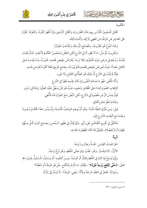



الحُكْمِيةِ.

كَقَتْلِ الْمُسْلِمِينَ الْمَتَرَّس بِهِمْ حَالَ الضَّرُورَةِ، وَكَقَتْلِ الزُّنْدِيقِ وَإِنْ أَظْهَرَ التَّوْبَةَ. وَكَقَوْلِنَا: يُحَرَّمُ عَلَى العَاجِزِ عَنِ الوَطْءِ مَنْ تَعْصِي لِتَرْكِهِ، وَأَشْبَاهِ ذَلِكَ.

وَهَذَا النَّوْعُ هُوَ المَعْرُوفُ: بِالمَصَالِحِ الْمُرْسَلَةِ، وَالمَذْهَبُ اعْتِبَارُهُ.

وَالغَرِيبُ الْمُرْسَلُ: مَا لَا نَظِيرَ لَهُ فِي الشَّرْعِ لَكِنِ العَقْلَ يَسْتَحْسِنُ الحُكْـمُ لِأَجْلِهِ. كَأَنْ يُقَـال لِلْبَاتِّ زَوْجَتِهِ فِي مَرَضٍ مَوْتِهِ الْمُخَوِّفِ لَئِلَا تَرِثَ: يُعَارَضُ بِنَقِيضٍ قَصْدِهِ. فَتَوَرَّثُ مِنْهُ قِيَاسـاً عَـلَى القَاتِلِ عَمْداً؛ حَيْثُ عُورِضَ بِنَقِيضٍ قَصْدِهِ فَلَمْ يُوَرَّثْ، بِجَامِعِ كَوْنِهَا فَعْلاً مُحَرَّماً لِغَرَضٍ فَاسِدٍ.

فَإِنَّهُ لَمْ يَثْبُتْ فِي الشَّرْعِ أَنَّ ذَلِكَ هُوَ العِلَّةُ فِي القَاتِلِ وَلَا غَيْرِهِ.

وَأَمَّا الْمُلْغَى: فَهُوَ مَا صَادَمَ النَّصَّ وَإِنْ كَانَ لِجِنْسِهِ نَظِيرٌ فِي الشَّرْعِ.

كَإِيجَابِ الصَّوْمِ ابْتِدَاءً عَلَى الْمُظَاهِرِ وَنَحْوِهِ، حَيْثُ هُوَ مِمَّنْ يَسْهُلُ عَلَيْهِ العِتْقُ؛ زِيَادَةً فِي زَجْرِهِ. فَإِنَّ جِنْسَ الزَّجْرِ مَقْصُودٌ فِي الشَّرْعِ، لَكِنِ النَّصَّ مَنَعَ اعْتِبَارَهُ هُنَا فَأُلْغِيَ. وَهَذَانَ مُطَّرِحَانِ بِاتِّفَاقِ.

قِيلَ: وَمِنْ طُرُقِ العِلَّةِ الشَّبَهُ: وَهُوَ أَنْ يُوهِمَ الوَصْفُ الْمَاسَبَةَ، بِأَنْ يَدُورَ مَعَهُ الحُكْـمُ وُجُـوداً وَعَدَماً مَعَ الْتِفَاتِ الشَّارِعِ إِلَيْهِ.

فَالكَيْلُ فِي تَحْرِيمِ التَّفَاضُلِ عَلَى رَأْيٍ. وَكَمَا يُقَالُ فِي تَطْهِيرِ الـنَّحْسِ، بِجَـامِع كَـوْن كُـلٍّ مِـنْهُمَا طَهَارَة تُرَادُ لِلصَّلَاةِ. فَيَتَعَيَّنُ هَا المَاءُ، كَطَهَارَةِ الحَدَثِ.

يَّةٌ:<br>تَنْبِيَّةٌ:

اعْتِرَاضَاتُ القِيَاس: خَمْسَةٌ وَعِشْرُونَ نَوْعاً.

الأَوَّلُ: الاسْتِفْسَارُ. وَهُوَ: طَلَبُ بَيَانِ مَعْنَى اللَّفْظِ، وَهُوَ نَوْعٌ وَاحِدٌ.

وَإِنَّهَا يُسْمَعُ إِذَا كَانَ فِي اللَّفْظِ إِجْمَالٌ أَوْ غَرَابَـةٌ. وَمِـنْ أَمْثِلَتِـهِ: أَنْ يَـسْتَدِلَّ المُـسْتَدِلُّ بِقَـوْلِ الله تَعَالَى: ﴿حَ**تَّى تَنْكِحَ زَوْجاً غَيْرَهُ**﴾"، فَيُقَالَ: مَا الْمَرَادُ بِالنِّكَاحِ. هَلْ هُوَ الوَطْءُ أَوِ العَقْدُ؟.

وَجَوَابُهُ: ظَاهِرٌ فِي العَقْدِ شَرْعاً؛ وَلِأَنَّهُ -يَعْنِي: الوَطْءُ- لَا يُسْنَدُ إِلَى الَمْرأَةِ.

(٩) سورة البقرة: ٢٣٠.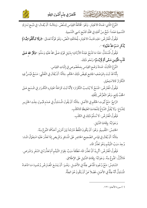



النَّوْعُ الثَّانِي: فَسَادُ الاعْتِبَارِ. وَهُوَ: مُخَالَفَةُ القِيَاسِ لِلـنَّصِّ. وَمِثَالَـهُ: أَنْ يُقَـالَ: فِي ذَبْـح تَـارِكِ التَّسْمِيةِ عَمْداً: ذَبْحٌ مِنْ أَهْلِهِ فِي حَكِّهِ كَذَبْحِ نَاسِي التَّسْمِيةِ.

فَيَقُولُ الْمُتَرِضُ: هَذِهِ فَاسِدُ الاعْتِبَارِ، لِمُخَالَفَتِهِ النَّصِّ، وَهُوَ قَوْلُهُ تَعَـالَى: ﴿وَلَا تَـأْكُلُوا مِمَّـا لَمْ يُذْكَرِ اسْمُ اللَّهَ عَلَيْهِ﴾ ```.

فَيَقُولُ الْمُسْتَدَلُّ: هَذَا مَا تَذْبَحُ عَبَدَةُ الأَوْثَانِ؛ بِدَلِيلِ قَوْلِهِ صَلَّى اللهُ عَلَيْهِ وَسَلَّمَ: «**ذِكْرُ الله عَـلَى** قَلْبِ الْمُؤْمِنِ سَمَّى أَمْ لَمْ يُسَمَّ» وَنَحْو ذَلِكَ.

النَّوْعُ الثَّالِثُ: فَسَادُ وَضْعِ القِيَاسِ بِمَخْصُوصِ فِي إِثْبَاتِ القِيَاسِ.

بِأَنَّهُ قَدْ ثَبَتَ بِالوَصْفِ الجَامِعِ نَقِيضُ ذَلِكَ الحَكْمِ. مِثَالُهُ: أَنْ يُقَالَ فِي التَّغَشِّي: مَسْحٌ فَيُسَنُّ فِيهِ التِّكْرَارُ كَالاسْتِجْمَارِ.

فَيَقُولُ الْمُعْتَرِضُ: الَمْسْحُ لَا يُنَاسِبُ التَّكْرَارَ؛ لِأَنَّهُ ثَبَتَ كَرَاهَةُ اعْتِبَارِهِ التَّكْرَار فِي المَسْحِ عَـلَى الخُفِّ لِمَانِع، وَهُوَ التَّعَرُّضُ لِثُقْلِهِ.

الرَّابِعُ: مَنْعُ ثُبُوت الحُكْمِ فِي الأَصْلِ. مِثَالُهُ: أَنْ يَقُولَ الْمُسْتَدِلُّ فِي عَـدَم قَبُـولِ جِلْـدِ الخَنْزِيـرِ لِلدِّبَاغِ: وَلَا يُقْبَلُ الدِّبَاغُ لِلنَّجَاسَةِ الغَلِيظَةِ كَالكَلْبِ.

فَيَقُولُ الْمُغَرَّضُ: لَا نُسَلِّمُ ذَلِكَ فِي الكَلْبِ.

وَجَوَابُهُ: بِإِقَامَةِ الدَّلِيلِ.

الخَامِسُ: التَّقْسِيمُ. وَهُوَ: أَنْ يَكُونَ اللَّفْظُ مُتَرَدِّداً بَيْنَ أَمْرَيْنِ أَحَدُهُمَا مَمْو عٌ مِنْهُ.

مِثَالُهُ: أَنْ يُقَالَ فِي قِيَاسِ الصَّحِيحِ الحَاضِرِ عَلَى الْمُسَافِرِ وَالْمِرِيضِ إِذَا تَعَذَّرَ عَلَيْهِ اسْتِعْمَالُ المَـاءِ: وُجِدَ سَبَبُ التَّيَمُّم وَهُوَ تَعَذُّرُ المَاءِ.

فَيَقُولُ الْمُعْتَرِضُ: أَتَّرِيدُ أَنَّ تَعَذُّرَ الَمَاء مُطْلَقاً سَبَبٌ لِحَوَازِ التَّيَمُّم أَمْ تَعَذُّرَهُ فِي السَّفَرِ وَالْمَرَضِ. فَالأَوَّلُ: مَمْنُوعٌ مِنْهُ. وَجَوَابُهُ: بِإِقَامَةِ الدَّلِيلِ عَلَى الإِطْلَاقِ.

السَّادِسُ: مَنْعُ وُجُودِ الْمُدَّعَى عِلَّةً فِي الأَصْـلِ. وَهُـوَ: أَنْ يَمْنَعَ الْمُحْتَرِضُ وُجُـودَ مَـا ادَّعَـاهُ الْمُسْتَدِلُّ أَنَّهُ عِلَّةٌ فِي الأَصْلِ، فَضْلاً عَنْ أَنْ يَكُونَ هُوَ العِلَّةُ.

(۱۰) سورة الأنعام: ۱۲۱.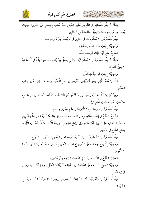



مِثَالُهُ: أَنْ يَقُولَ الْمُسْتَدِلُ فِي الَمْعِ مِنْ تَطْهِيرِ الدِّبَاغِ جِلْدَ الكَلْبِ بِالقِيَاسِ عَلَى الخَنْزِيرِ : حَيَـوَانٌ يُغْسَلُ مِنْ وُلُوغِهِ سَبْعاً فَلَا يَقْبَلُ جِلْدُهُ الدِّبَاغَ كَالخَنْزِيرِ .

فَيَقُولُ الْمُعْتَرِضُ: لَا نُسلِّمُ ذَلِكَ فِي الخَنْزِيرِ فِي أَنَّهُ يُغْسَلُ مِنْ وُلُوغِهِ سَبْعاً.

وَجَوَابُهُ: بِإِثْبَاتِ طُرُقِ العِلَّةِ فِي الخَنْزِيرِ.

السَّابِعُ: مَنْعُ كَوْنِ ذَلِكَ الوَصْفِ عِلَّةٌ.

مِثَالُهُ: أَنْ يَقُولَ الْمُتَرِضُ: لَا نُسَلِّمُ كَوْنَ الخَنْزِيرِ يُغْسَلُ مِنْ وُلَغِهِ سَبْعاً هُوَ العِلَّةُ فِي أَنَّ جِلْدَهُ لَا يَقْبَلُ الدِّبَاغَ.

وَجَوَابُهُ: بِإِثْبَاتِ الْعِلَّةِ بِأَحَدِ الطُّرُقِ.

الثَّامِنُ: عَدَمُ التَّأْثِيرِ. وَهُوَ: أَنْ يُبْدِيَ الْمُعْتَرِضُ فِي قِيَاسِ الْمُسْتَدِلِّ وَصْفاً لَا تَأْثِيرَ لَـهُ فِي إِثْبَـاتِ الخڭم.

وَمِنْ أَمْثِلَتِهِ: قَوْلُ الحَنَفِيَّةِ فِي الْمُرْتَدِّينَ إِذَا أَتْلَفُوا أَمْوَالَنَا: مُشْرِكُونَ أَتْلَفُوا أَمْوَالاً فِي دَارِ الحَرْب فَلاَ ضَمَانَ عَلَيْهِمْ كَسَائِرِ الْمُشْرِكِينَ.

فَيَقُولُ الْمُغْتَرِضُ: دَارُ الحَرْبِ لَا تَأْثِيرَ لَهَا فِي عَدَمِ الضَّمَانِ عِنْدَكُمْ.

التَّاسِعُ: القَدْحُ فِي إِفْضَاءِ الْمَاسِبِ إِلَى الَمصْلَحَةِ المَقْصُودَةِ. مِثَالُهُ: أَنْ يُقَـالَ فِي عِلَّـةِ تَحْـرِيم مُصَاهَرَة المَحَارِم عَلَى التَّأْبِيدِ: أَنَّهَا الحَاجَةُ إِلَى ارْتِفَاعِ الحِجَابِ. وَوَجْهُ الْمَاسبَةِ: أَنَّ التَّحْرِيمَ الْمُؤَبَّـدَ يَقْطَعُ الطَّمَعَ فِي الفُجُورِ.

فَيَقُولُ الْمُعْتَرِضُ: لَا نُسَلِّمُ ذَلِكَ. بَلْ قَدْ يَكُونُ إِفْضَاءً إِلَى الفُجُورِ؛ لِسَدِّهِ بَابِ الزَّوَاج.

وَجَوَابُهُ: بِأَنَّ رَفْعَ الحِجَابِ عَلَى الذَّوَامِ مَعَ اعْتِقَادِ التَّحْرِيمِ لَا يَبْقَى مَعَهُ المَحَلُ مُشْتَهَى طَبْعـاً كَالأُمَّهَاتِ.

العَاشِرُ : القَدْحُ فِي الْمُنَاسَبَةِ. وَهُوَ: إِبْدَاءُ مَفْسَدَةٍ رَاجِحَةٍ أَوْ مُسَاوِيَةٍ.

وَجَوَابُهُ: تَرْجِيحُ الَمُسْلَحَةِ عَلَى الَمْسَدَةِ. وَمِنْ أَمْثِلَتِهِ أَنْ يُقَالَ: التَّخَلِّي لِلْعِبَادَةِ أَفْضَلُ لِلَافِيهِ مِنْ تَزْكِيَةِ النَّفْسِ.

فَيَقُولُ الْمُعْتَرِضُ: لَكِنَّهُ يُفَوِّتُ أَضْعَافَ تِلْكَ الَمْلَحَةِ: مِنْ إِيجَادِ الوَلَدِ، وَكَفِّ النَّظَرِ، وَكَسْرِ الشُّهْوَ ةِ.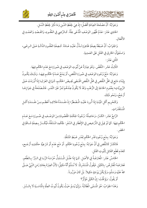

وَجَوَابُهُ: أَنَّ مَصْلَحَةَ العِبَادَةِ أَفْضَلُ؛ إِذْ هِيَ لِحِفْظِ الدِّينِ وَمَا ذُكِرَ لِحِفْظِ النَّسْلِ.

الحَادِي عَشَرَ: عَدَمُ ظُهُورِ الوَصْفِ الْمُدَّعَى عِلَّةً. كَـالرَّضِي فِي العُقُـودِ، وَالقَـصْدِ وَالعَمْـدِ فِي الأَفْعَال.

وَالْجَوَابُ: أَنَّ ضَبْطَهُ بِصِفَةٍ ظَاهِرَةٍ تَـدُلُّ عَلَيْـهِ عَـادَةً. كَـصِفَةِ العُقُـودِ الدَّالَـةِ عَـلَى الـرِضَى، وَاستْعِمْالُ الخَارِقِ فِي القَتْلِ عَلَى العَملِيةِ.

الثَّانِي عَشَرَ:

الثَّالِثُ عَشَر: النَّقْضُ. وَهُوَ عِبَارَةٌ عَنْ ثُبُوتِ الوَصْفِ فِي صُورَةٍ مَعَ عَدَم الحُكْم فِيهَا.

وَجَوَابُهُ: مَنْعُ وُجُودِ الوَصْفِ فِي صُورَةِ النَّقْضِ، أَوْ يَمْنَعُ عَـدَمُ الحُكْـمِ فِيهَـا. وَذَلِـكَ يَكُـونُ بِإِبْدَاءِ مَانِعٍ فِي حَلِّ النَّقْضِ فِي حَلِّ النَّقْضِ اقْتَـضَى نَقِـيضَ الحَكْـم، كَـهَا فِي العَرَايَـا إِذَا أُوْرَدْتَ عَـلَى الرِّبِوِيَّاتِ؛ بِعُمُومِ الحَاجَةِ إِلَى الرُّطَبِ وَقَدْ لَا يَكُونُ عِنْدَهُمْ ثَمَرٌ غَيْرَ التَّمْـرِ. فَالَمصْلَحَةُ فِي جَوَازِهَـا أَرْجَحُ، وَنَحْو ذَٰلِكَ.

وَكَتَحْرِيمٍ أَكْلِ الَمْتَـةِ إِذَا أُورِدَ عَلَيْـهِ الْمُضْطَرُ؛ إِذْ مَفْسَدَةُ هَلَاكِـهِ أَعْظَـم مِـنْ مَفْسَدَةِ أَكْـلِ الْمُسْتَقْذَرَاتٍ.

الرَّابِعُ عَشَرٍ: الكَسْرُ، وَحَاصِلُهُ: وُجُودُ الحِكْمَةِ الَمُّصُودَةِ مِنَ الوَصْفِ فِي صُـورَةٍ مَـعَ عَـدَم الحُكْم فِيهَا. كَمَا لَوْ قِيلَ فِي التَّرْخِيصِ فِي الإِفْطَارِ فِي السَّفَرِ: لِحُكْمِهِ الَمشَقَّةُ، فَيُكْسَرُ بِصِفَةٍ شَـاقَةٍ فِي الحقَم .

وَجَوَابُهُ: بِمَنْعٍ وُجُودِ قَدْرِ الحُكْمِ لِعُسْرِ ضَبْطِ الَمَثَقَّةِ.

فَالكَسْرُ كَالنَّقْضِ فِي أَنَّ جَوَابَهُ: بِمَنْعٍ وُجُودِ الحُكْمِ. أَوْ مَنْعِ عَدَمٍ أَوْ شَرْعِيَّةِ حكْمَتِـهِ أَرْجَـح، كَعَدَم قَطْعِ القَاتِلِ لِثُبُوتِ القَتْلِ.

الخَامَسُ عَشَر: الْمُعَارَضَةُ فِي الأَصْلِ. كَـهَا إِذَا عَلَّـلَ الْمُسْتَدِلُّ حُرْمَـةَ الرِّبَـا فِي الـبُرِّ: بِـالطَّعْم. فَعَارَضَهُ الْمُتَّرِضُ: بِالكَيْلِ. فَيَقُولُ الْمُسْتَدْرِكُ: لَا نُسَلِّمُ أَنَّهُ مَكِيلٌ؛ لِأَنَّ العِبْرَةَ بِعَادَةِ زَمَنِ النَّبِيِّ صَـلَّى اللهُ عَلَيْهِ وَسَلَّمَ، وَلَمْ يَكُنْ يَوْمَئِذٍ مَكِيلاً. بَلْ كَانَ مَوْزُوناً.

أَوْ يَقُولُ: وَلِمَ قُلْتَ: إِنَّ الكَيْلَ مُؤَثِّرٌ؟

وَهَذَا الجَوَابُ: هُوَ الْمُسَمَّى الْمُطَالَبَةُ. وَإِنَّهَا يُسَمَّ حَيْثُ يَكُونُ ثُبُوتُ العِلَّةِ بِالْمَاسَـبَةِ لَا بِالـسَّبْرِ.

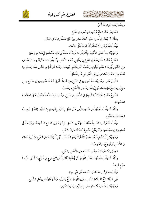



وَلِلْمُعَارَضَةِ جَوَابَاتٌ أُخَرُ.

بخابخشة الخالطانية تتفتت

السَّادِسُ عَشَر: مَنْعُ وُجُودِ الوَصْفِ فِي الفَرْعِ. مِثَالُهُ: أَنْ يُقَالَ فِى أَمَانِ العَبْدِ: أَمَانٌ صَدَرَ مِنْ أَهْلِهِ كَالمَّأْذُونِ لَهُ فِى القِتَالِ.

فَيَقُولُ الْمُتَرِضُ: لَا نُسَلِّمُ أَنَّ العَبْدَ أَهْلُ لِلأَمَانِ.

وَجَوَابُهُ: بَيَانُ مَعْنَى الأَهْلِيةِ، بأَنْ يَقُولَ: أُرِيدَ أَنَّهُ مَظَنَّةٌ لِرعَايَةِ المَصْلَحَةِ لِإسْلامِهِ وَعَقلِهِ.

السَّابِعُ عَشَر: الْمُعَارَضَةُ فِي الفَرْعِ بِمَا يَقْتَضِي حُكْمَ الأَصْلِ. بِأَنْ يَقُولَ: مَا ذَكَرْتُهُ مِنَ الوَصْـفِ وَإِنِ اقْتَضَى ثُبُوتَ الحُكْم فَعِنْدِي وَصْفٌ اَخَرُ يَقْتَضِي نَقِيضهُ. وَهَذَا هُوَ الَّـذِي يُعْنَـى بِالْمَارَضَـةِ بِـمَا تَقَدَّمَ مِنَ الاعْتِرَاضَاتِ مِنْ قِبَلِ الْمُعْتَرِضِ عَلَى الْمُسْتَدِلِّ.

الثَّامِنُ عَشَر: وَهُوَ إِبْدَاءُ خُصُوصِيةٍ فِي الفَرْعِ هِيَ شَرْطُ، أَوْ إِبْدَاءُ خُصُوصِيةٍ فِي الفَـرْعِ هِـيَ مَانِعٌ. وَمَرْجِعُ هَذِهِ القَاعِدَةِ إِلَى الْمُعَارَضَةِ فِي الأَصْلِ، وَقَدْ مَرَّ .

التَّاسِعُ عَشَر: اخْتِلَافُ الضَّابِطِ فِي الأَصْلِ وَالفَرْعِ. وَهُوَ الوَصْفُ الْمُشْتَمِلُ عَلَى الحِكْمَةِ الَمَقْصُو دَةِ.

مِثَالُهُ: أَنْ يَقُولَ الْمُسْتَدِلُّ فِي شُهُودِ الزُّورِ عَلَى القَتْلِ إِذَا قُتِلَ بِشَهَادَتِهِمْ: تَسَبَّبُوا لِلْقَتْـلِ فَيَجِـبُ القِصَاصُ كَالْمُكْرَهِ.

فَيَقُولُ الْمُعْتَرِضُ: الضَّابِطُ مُخْتَلِفٌ؛ فَإِنَّهُ فِي الأَصْلِ الإِكْرَاهُ وَفِي الفَـرْعِ الـشَّهَادَةُ، وَلَمْ يَتَحَقَّـقْ تَسَاوِيهَا فِي الْمَصْلَحَةِ، وَقَدْ يَعْتَبِرُ الشَّارِعُ أَحَدُهُمَا دُونَ الآخَرِ.

وَجَوَابُهُ: بِأَنَّ الضَّابِطَ هُوَ القَدرُ المُشْتَرَكُ وَهُوَ التَّسَبُّبُ. أَوْ بِأَنَّ إِفْضَاءَهُ فِي الفَرْعِ مِثْـلُ إِفْـضَائِهِ فِي الأَصْلِ أَوْ أَرْجَحَ. وَنَحْو ذَلِكَ.

العِشْرُونَ: اخْتِلَافُ جِنْسِ المَصْلَحَةِ فِي الأَصْلِ وَالفَرْعِ.

مِثَالُهُ: أَنْ يَقُولَ الْمُسْتَدِلُ: يُحَدُّ بِاللُّوَاطِ كَمَا يُحَدُّ بِالزِّنَا؛ لِأَنَّهُ إِيلَاجُ فَرْجٍ فِي فَـرْجٍ مُـشْتَهَى طَبْعـاً مُحَرَّم شَرْعاً.

فَيَقُولُ الْمُتَرِضُ: اخْتَلَفَتِ الْصْلَحَةُ فِي تَخْرِيمِهَا. فَفِي الزِّنَا: مَنْعُ اخْتِلَاطِ النَّسَبِ. وَفِي اللُّوَاطِ: دَفْعُ رَذِيلَتِهِ. وَقَدْ يَتَفَاوَتَانِ فِي نَظَرِ الشَّارِعِ. وَجَوَابُهُ: بَيَانُ اسْتِقْلَالِ الوَصْفِ بِالْعِلِّيَّةِ مِنْ دُونِ تَفَاوِتٍ.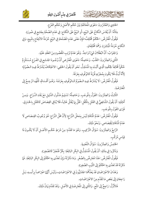

غُتَصَرٌ فِي عِلْمِ أُصُولِ الفِقْهِ كالحشيج الشاها التهنيت

الحَادِي وَالعُشْرُونَ: دَعْوَى الْمُخَالَفَةِ بَيْنَ حُكْمِ الأَصْلِ وَحُكْمِ الفَرْعِ.

مِثَالُهُ: أَنْ يُقَاسَ النِّكَاحُ عَلَى البَيْعِ، أَوِ البَيْعُ عَلَى النِّكَاحِ: فِي عَدَمِ الصِّحَّةِ بِجَامِع فِي صُورَةٍ.

فَيَقُولُ الْمُعْتَرِضُ: الحُكْمُ مُخْتَلِفٌ؛ فَإِنَّ مَعْنَى عَدَمِ الَمْسْلَحَةِ فِي البَيْعِ حُرْمَةُ الانْتِفَاع بِالمَبِيعِ، وَفِي النِّكَاحِ حُرْمَةُ الْمُبَاشِرَةِ. وَهُمَا مُخْتَلِفَانِ.

وَالْجَوَابُ: أَنَّ البُطْلَانَ شَيْءٌ وَاحِدٌ. وَهُوَ عَدَمُ تَرْتِبِ المَقْصُودِ مِنَ العَقْدِ عَلَيْهِ.

الثَّانِي وَالعِشْرُونَ: القَلْبُ. وَحَاصِلُهُ: دَعْوَى الْمُعْتَرِضِ أَنَّ وُجُـودَ الجَـامِعِ فِي الفَـرْعِ مُـسْتَلْزِمٌ حُكْماً مُخَالِفاً لِحُكْمِهِ الَّذِي أَثْبَتَ بِهِ الْمُسْتَدِلُّ. نَحْو أَنْ يَقُولَ الحَنَفِي: الاعْتِكَافُ يُشْتَرَطُ فِيهِ الصَّوْمُ؛ لِأَنَّهُ لُبْثٌ فَلَا يَكُون بِمُجَرَّدِهِ قُرْبَةً كَالوُقُوفِ بِعَرَفَةَ.

فَيَقُولُ الْمُعْتَرِضُ: لَا يُشْتَرَطُ فِيهِ الصَّوْمُ كَالوُقُوفِ بِعَرَفَةَ. وَهُـوَ أَقْسَامٌ، كُلُّهَـا تَرْجِـعُ إِلَى الْمَعَارَضَةِ.

الثَّالِثُ وَالعِشْرُونَ: القَوْلُ بِالْمُوجَبِ. وَحَاصِلُهُ: تَسْلِيمُ مَدْلُول الدَّلِيل مَعَ بَقَاءِ النِّـزَاع. وَمِـنْ أَمْثِلَتِهِ: أَنْ يَقُولَ الشَّافِعِيُّ فِي القَتْلِ بِالْمُثَّلِ: قَتْلُ بِهَا يُقْتَلُ غَالِباً، فَلَا يُنَافِي القِصَاصَ كَالقَتْلِ بِالخَارِقِ. فَيَرَى القَوْلَ بِالْمُوجَبِ.

فَيَقُولُ الْمُعْتَرِضُ: عَدَمُ الْمُنَافَاةِ لَيْسَ بِمَحَلِّ النَّزَاعِ؛ لِأَنَّ مَحَلَّ النَّزَاعِ: هُوَ وُجُوبُ القِـصَاصِ لَا عَدَمُ الْمَافَاةِ لِلْقِصَاصِ. وَنَحْوُ ذَلِكَ.

الرَّابِعُ وَالعِشْرُونَ: سُؤَالُ التَّرْكِيبِ. وَهُوَ مَا تَقَدَّمَ: مِنْ شَرْطِ حُكْـم الأَصْـلِ أَنْ لَا يَكُـونَ ذَا قِيَاسِ مُرَكَّبٍ.

الخَامِسُ وَالْعِشْرُونَ: سُؤَالُ التَّعْدِيةِ.

وَذَكَرُوا فِي مِثَالِهِ: أَنْ يَقُولَ الْمُسْتَدِلُّ فِي البِكْرِ البَالِغَةِ: بِكْرٌ فَتُجْبَرُ كَالصَّغِيرَةِ.

فَيَقُولُ الْمُنْزِضُ: هَذَا مُعَارِضٌ بِالصِّغَرِ. وَمَا ذَكَرْتَهُ وَإِنْ تَعَدَّى بِهِ الحُكْمُ إِلَى البِكْرِ البَالِغَةِ. فَمَا ذَكَرْتَهُ قَدْ تَعَدَّى بِهِ الْحُكْمُ إِلَى الثَّيْبِ الصَّغِيرَةِ.

وَهَذَانَ الاعْتِرَاضَانِ قَدْ يَعَدُّهُمَا الجَدَلِيُّونَ فِي الاعْتِرَاضَاتِ، وَلَيْسَ أَيُّهَا اعْتِرَاضاً بِرَأْسِهِ، بَـلْ رَاجِعَانِ إِلَى بَعْضٍ مَا تَقَدَّم مِنَ الاعْتِرَاضَاتِ.

فَالأَوَّلُ: رَاجِعٌ إِلَى الَمْعِ. وَالثَّانِي إِلَى الْمَحَارِضَةِ فِي الأَصْلِ. وَقَدْ تَقَدَّمَ بَيَانُ ذَلِكَ.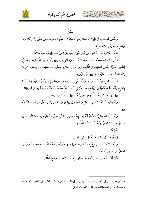

فَضَلَّ

وَبَعْضُ العُلَمَاءِ يَذْكُرُ دَلِيلاً خَامِساً: وَهُوَ الاسْتِدْلَالُ. قَالُوا: وَهُوَ مَا لَيْسَ بِنَصٍّ وَلَا إِجْمَاعٍ وَلَا قِيَاس عِلَّةٍ، وَهُوَ ثَلَاثَةُ أَنْوَاعٍ:

الأَوَّلُ: تَلَازُمٌ بَيْنَ الْحُكْمَيْنِ مِنْ دُونِ تَعْيِينِ عِلَّةٍ. مِثْلُ: مَنْ صَحَّ ظِهَارُهُ صَحَّ طَلَاقُهُ.

الثَّانِي: الاسْتِصَحَابُ لِلْحَالِ. وَهُوَ: نَحْو ثُبُوتِ الشَّيْءِ فِي وَقْتِهِ لِثُبُوتِهِ قَبْلِهِ؛ لِفُقْدَانِ مَا يَـصْلُحُ لِلتَّغْيِيرِ. كَقَوْلِ بَعْضِ الشَّافِعِيَّةِ فِي الْمَيَمِّم يَرَى المَاءَ فِي صَلَاتِهِ: يَسْتَمِرُّ فِيهَا اسْتِصْحَاباً لِلْحَالِ الأَوَّلِ؛ لِأَنَّهُ قَدْ كَانَ وَجَبَ عَلَيْهِ المَضِي فِيهَا قَبْلَ الرُّؤْيَةِ.

الثَّالِثُ: شَرْعُ مَنْ قَبْلَنَا. وَالْمُخْتَارُ: أَنَّ النَّبِيَّ صَلَّى اللهُ عَلَيْهِ وَسَلَّمَ لَمْ يَكُـنْ قَبْـلَ البَعْثَـةِ مُتَعَبَّـداً بِشَرْعٍ، وَأَنَّهُ بَعْدَهَا مُتَعَبِّدٌ بِمَا لَمْ يُنْسَخْ مِنَ الشَّرَائِعِ فَيَجِبُ الأَخْذُ بِذَلِكَ عِنْدَ عَدَم الدَّلِيلِ فِي شَرِيعَتِنَا.

قِيلَ: وَمِنْهُ: الاسْتِحْسَانُ. وَهُوِ: عِبَارَةُ عَنْ دَلِيلٍ يُقَابِلُ القِيَاسَ الْجَلِي.

وَقَدْ يَكُونُ ثُبُوتُهُ بِالأَثَرِ وَبِالإِجْمَاعِ وَبِالضَّرُورَةِ وَبِالقِيَاسِ الخَفِي وَلَا يَتَحَقَّقُ اسْتِحْسَانٌ مُخْتَلَفٌ فِيهِ.

وَأَمَّا قَوْلُ الصَّحَابِيِّ: فَالأَكْثَرُ أَنَّهُ لَيْسَ بِحُجَّةٍ، وَقَوْلُ النَّبِيِّ صَلَّى اللهُ عَلَيْهِ وَسَلَّمَ: «أَصْحَابِي كَالنُّجُوم...»''' الخَبَرُ. وَنَحْوُهُ. الْمَرَادُ بِهِ الْمَقَلِّدُونَ.

خَاتِمَةٌ:

S XITTER

إِذَا عُدِمَ الدَّلِيلُ الشَّرْعِيُّ عُمِلَ بدَلِيلِ العَقْلِ.

وَالْمُخْتَارُ: أَنَّ كُلَّ مَا يُنْتَفَعُ بِهِ مِنْ غَيْرِ ضَرُورَةٍ عَاجِلَةٍ أَوْ آجِلَةٍ فَحُكْمُهُ الإِبْاحَةُ عَقْـلاً. وَقِيـلَ: الْحَظَرُ . وَبَعْضُهُمْ: تَوَقَّفَ.

لَنَا: أَنَّا نَعْلَمُ حُسْنَ مَا ذَلِكَ حَالَهُ، كَعِلْمِنَا بِحُسْنِ الإِنْصَافِ وَقُبْحِ الظُّلْم.

<sup>(``)</sup> أخرجه ابن عدي في «الكامل» (٣/ ٢٠٠)، والبيهقـي في «المـدخل» (ص١٦٢)، والخطيـب في «الكفايـة» (ص٤٨)، وضعفه الألباني في «مشكاة المصابيح» (٦٠٠٩)، وقال: «باطل».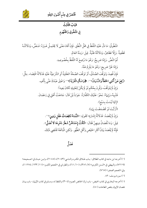



عُتْصَرٌ فِي عِلْمِ أُصُولِ الفِقْهِ

البَابُ الثَّالِثُ فِي المَنْطُوقِ وَالْمَفْهُوم

الَنْطُوقُ: مَا دَلَّ عَلَيْهِ اللَّفْظُ في حَلِّ النُّطْقِ. فَإِنْ أَفَادَ مَعْنًى لَا يَحْتَمِـلُ غَـبْرَهُ: فَـنَصٌّ ، وَدَلَالَتُـهُ قَطْعِيةٌ. وَإِلَّا فَظَاهِرٌ، وَدَلَالَتُهُ ظَنِّيةٌ. قِيلَ: وَمِنْهُ العَامُ.

ثُمَّ النَّصُّ. وَإِمَّا صَرِيحٌ: وَهُوَ مَا وُضِعَ لَهُ اللَّفْظُ بِخُصُوصِهِ.

وَإِمَّا غَيْرُ صَرِيحٍ: وَهُوَ مَا يَلْزِمُ عَنْهُ.

فَإِنْ قُصِدَ وَتَوَ قَفَ الصِّدْقُ، أَوْ تَوَ قَفَ الصِّحَّةُ العَقْلِيةُ أَوِ الشَّرْ عِيَّةُ عَلَيْهِ فَدَلَالَةُ اقْتِضَاء. مِثْلُ: «رُفِعَ عَنْ أُمَّتِي الخَطَأُ وَالنِّسْيَانُ»''". ﴿وَاسْأَلِ الْقَرْيَةَ﴾''' وَاعْتِقْ عَبْدَكَ عَنِّي بأَلْفٍ.

وَإِنْ لَمْ يَتَوَقَّفْ، وَقُرِنَ بِحُكْم لَوْ لَمْ يَكُنْ لِتَعْلِيلِهِ لَكَانَ بَعِيداً: فَتَنْبِيهٌ، وَإِيهَاءٌ. نَحْوُ: عَلَيْكَ الكَفَّارَةُ. جَوَاباً لَمِنْ قَالَ: جَامَعْتُ أَهْلِي فِي رَمَضَانَ. (إِنَّهَا لَيْسَتْ بِسَبْعٍ). (أَرَأَيْتَ لَوْ قَضْمَضْتَ بِمَاءٍ). وَإِنْ لَمَ يُقْصَدْ: فَدَلَالَةُ إِشَارَةٍ؛ كَقَولِهِ: **«النِّسَاءُ نَاقِصَاتُ عَقْل وَدِين**ِ»<sup>09</sup>. قِيلَ: وَمَا نُقْصَانُ دِينِهِنَّ فَقَالَ: «**قَكُثُ إِحْدَاهُنَّ شَطْرَ دَهْرِهَا لَا تُصَلِّ**ّ». فَإِنَّهُ لَمْ يُقْصَدْ بَيَانُ أَكْثَرِ الحَيْضِ وَأَقْلِ الطُّهْرِ . وَلَكِنِ الْمُالَغَةَ تَقْتَضِي ذَلِكَ.

فَضْلٌ

(١٠) أخرجه ابن ماجه في كتاب الطلاق- بـاب طـلاق المكـره والنـاسي (٢٠٤٣)، (٢٠٤٥)، وابـن حبـان في «صـحيحه» (٧٢١٩)، والبيهقي في «السنن الكبرى» (٧/ ٣٥٦)، (١٠/ ٦١)، والطبراني في «المعجم الكبـير» (١١/ ١٣٣/ ١١٢٧٤)، وفي «المعجم الصغير» (٧٦٥).

(٣) سورة يوسف: ٨٢.

(١٠) أخرجه البخاري في كتاب الحيض- باب ترك الحائض الصوم (٣٠٤) واللفظ له، ومسلم في كتاب الإيهان- باب بيـان نقصان الإيران بنقص الطاعات (٨٠).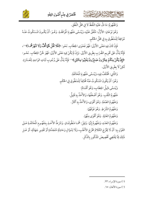

وَالَفْهُومُ: مَا دَلَّ عَلَيْهِ اللَّفْظُ لَا فِي حَلِّ النُّطْقِ.

وَهُوَ نَوْعَانِ: الأَوَّلُ: مُتَّفَقٌّ عَلَيْهِ، وَيُسْمَّى مَفْهُومَ الْمَوَافَقَـةِ. وَهُـوَ: أَنْ يَكُـونَ المَسْكُوتُ عَنْـهُ مُوَافِقاً لِلْمَنْطُوقِ بِهِ فِي مَحَلِّ الْحُكْمِ.

فَإِنْ كَانَ فِيهِ مَعْنَى الأَوْلَى: فَهُوَ فَحْوَى الخِطَابِ. نَحْو: ﴿فَلَا تَقُلْ لَهُمَا أُفٍّ وَلَا تَنْهَرْهُمَا﴾ ۚ "، فَإِنَّهُ يَدُلُّ عَلَى تَحْرِيم الضَّرْبِ بِطَرِيقِ الأَوْلَى. وَإِنْ لَمْ يَكُنْ فِيهِ مَعْنَى الأَوْلَى: فَهُوَ لَحْنُ الخِطَابِ. نَحْـو: ﴿إِنْ يَكُنْ مِنْكُمْ عِشْرُونَ صَابِرُونَ يَغْلِبُوا مِائَتَيْنِ﴾ ``` فَإِنَّهُ يَدُلُّ عَلَى وُجُوب ثَبَاتِ الوَاحِدِ لِلْعَشَرَةِ. لَكِنْ لَا بطَرِيقِ الأَوْلَى.

> وَالثَّانِي: مُخْتَلَفٌ فِيهِ، وَيُسَمَّى مَفْهُومَ الْمُخَالَفَةِ. وَهُوَ: أَنْ يَكُونَ الَمْنكُوتُ عَنْهُ مُخَالِفاً لِلْمَنْطُوقِ فِي الْحُكْم. وَيُسَمَّى دَلِيلُ الخِطَابِ، وَهُوَ أَقْسَامٌ: مَفْهُومُ اللَّقَبِ. وَهُوَ أَضْعَفُهَا، وَالأَخْذُ بِهِ قَلِيلٌ. وَمَفْهُومُ الصِّفَةِ. وَهُوَ أَقْوَى، وَالأَخْذُ بِهِ أَكْثَرُ. وَمَفْهُومُ الشَّرْطِ. وَهُوَ فَوْقَهُمَا. وَمَفْهُومُ الغَايَةِ. وَهُوَ أَقْوَى مِنْهُمَا.

وَمَفْهُومُ العَدَدِ، وَمَفْهُومُ إِنِّمَا. وَقِيلَ: هُمَـا مَنْطُوقَـانِ. وَشَرْطُ الأَخْـذِ بِمَفْهُـوم الْمُخَالَفَـةِ عَـلَى القَوْلِ بِهِ: أَنْ لَا يَخْرُجَ الكَلَامُ خَرَجَ الأَغْلَبِ، وَلَا لِسُؤَالٍ وَحَادِثَةٍ مُتَجَدِّدَةٍ أَوْ تَقْدِيرِ جَهَالَةٍ، أَوْ غَـيْرِ ذَلِكَ مِمَّا يَقْتَضِي تَخْصِيصَ المَذْكُورِ بالذِّكْرِ.

(١٠) سورة الإسراء: ٢٣.

(١٠) سورة الأنفال: ٦٥.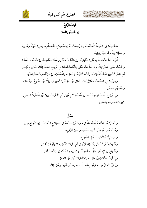





البَابُ الرَّابعُ في الحَقِيقَةِ وَالْمَجَازِ

فَالْحَقِيقَةُ: هِيَ الكَلِمَةُ الْمُسْتَعْمَلَةُ فِيهَا وُضِعَتْ لَهُ فِي اصْطِلَاحِ التَّخَاطُبِ. وَهِيَ: لُغَوِيَّةٌ وعُرْفِيةٌ وَاصْطِلَاجِيةٌ وَشَرْعِيَّةٌ وَدِينِيةٌ.

ثُمَّ إِنْ تَعَدَّدَتْ لَفْظاً وَمَعْنًى: فَمُتَبَاينَةُ. وَإِنِ اتِّكَدَتْ مَعْنًى وَلَفْظاً: فَمُنْفَرِدَةٌ. وَإِنْ تَعَدَّدَتْ لَفْظـاً وَاتْحَدَّتْ مَعْنًى: فَمُتَرَادِفَةٌ. وإِنْ تَعَدَّدَتْ مَعْنًى وَاتَّحَدَتْ لَفْظاً: فإِنْ وُضِعَ اللَّفْظُ لِتِلْكَ المَعَانِي بِاعْتِبَـارِ أَمْرِ اشْتَرَكَتْ فِيهِ فَمُشَكَّكَةٌ إِنْ تَفَاوَتَتْ، كَالمَوْجُودِ لَلْقَدِيم والْمُحْدَثِ. وإِنْ لَمْ تَتَفَاوَتْ فَمُتَواطِئٌ.

وَحِينَئِذٍ: فإِنِ اخْتَلَفَتْ حَقَائِقُ تَلْكَ المَعَانِي فَهُوَ الجِنْسُ: كَحَيَوَانٍ. وإلَّا فَهُوَ النَّـوعُ: كإِنْـسَانِ. يَرْفَهُهُمْ يَعْكِسُ.

وإِنْ وُضِعَ اللَّفْظُ الوَاحِدُ لَلْمَعَانِي الْمَتَعَدَّدَةِ لَا بِاعْتِبَارِ أَمْرِ اشْتَرَكَتْ فِيهِ: فَهُوَ الْمُشْتَرَكُ اللَّفْظِي. كَعِينِ: لَلْجَارِحَةِ وَالْجَارِيةِ.

#### فَصْلٌ

وَالَمَجَازُ: هُوَ الكَلِمَةُ الْمُسْتَعْمَلَةُ فِي غَيْرِ مَا وُضِعَتْ لَهُ فِي اصْطِلَاحِ التَّخَاطُبِ لِعِلَاقَةٍ مَعَ قَرِينَةٍ. وَهُوَ نَوْعَانِ: مُرْسَلٌ. كَاليَدِ لَلنَّعْمَةِ، وَالعَيْنِ لَلْرُّؤْيةِ. وَاسْتِعَارِةٌ: كَالأَسَدِ لَلرَّجُلِ الشُّجَاعِ. وَقَدْ يَكُونَ مُرَكْباً. كَمَا يُقَالُ لِلْمُتَرَدِّفِي أَمْرِ: أَرَاكَ تُقَدِّمُ رِجْلاً وَتُؤَخِّرُ أُخْرَى. وَقَدْ يَقَعُ فِي الإِسْنَادِ. مَثْلُ: جَدّ جَدُّهُ. وَلِاستِيفَاءِ الكَلَامِ فِي ذَلِكَ فَنٌّ آخَرَ. وَإِذَا تَرَدَّدَ الكَلامُ بَيْنَ الْحَقِيقَةِ وَالاشْتِرَاكِ حُمِلَ عَلَى الْمَجَازِ. وَيَتَمَيَّزُ الْمَجَازُ مِنَ الْحَقِيقَةِ: بِعَدَمِ اطِّرَادِهِ، وَصَدْقِ نَفْيِهِ، وَغَيْرَ ذَلِكَ.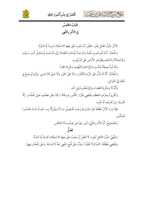



البَابُ الخَامِسُ فِي الأَمْرِ والنَّهِي

عُنْتَصَرٌ فِي عِلْمِ أُصُولِ الفِقْهِ

الأَمْرُ: قَوْلُ القَائِلِ لِغَيْرِ: افْعَلْ، أَوْ نَحْوه، عَلَى جِهَةِ الاسْتَعْلَاءِ مُرِيداً لِمَا تَنَاوَلَهُ.

والْمُخْتَارُ: أَنَّـهُ لَلْوجُـوب لُغَـةً وَشَرْعـاً؛ لِّبَـادَرَةِ العُقَـلَاءِ إِلَى ذَمٍّ عَبْـلٍ لَمْ يَمْتَثِـلْ أَمْـرَ سَـيِّدِهِ، وَلِاسْتِدْلَالِ السَّلَفِ بِظَوَاهِرِ الأَوَامِرِ عَلَى الوُجُوبِ.

وَقَدْ تُرَدُّ صِيغَتُهُ لِلنَّدَبِ وَالإِبَاحَةِ وَالتَّهْدِيدِ وَغَيْرِهَا مَجَازاً.

وَالْمُخْتَارُ: أَنَّهُ لَا يَدُلُّ عَلَى المَرَّةِ وَالتِّكْرَارِ، وَلَا عَلَى الفَوْرِ وَلَا عَـلَى التَّرَاخِـي. وَإِنَّـمَا يُرَجَـعُ فِي ذَلِكَ إِلَى القَرَائِنِ.

وَأَنَّهُ لَا يَسْتَلْزِمُ القَضَاءَ، وَإِنِّمَا يُعْلَمُ بِدَلِيلِ آخَرَ.

وَتَكْرِيرُهُ بِحَرْفِ العَطْفِ يَقْتَضِي تِكْرَارَ المَأْمُورِ بِهِ وِفَاقاً. وَكَذَا بِغَيْرِ عَطْفٍ عَـلَى الْمُخْتَـارِ. إِلَّا لِقَرِينَةٍ: مِنْ تَعْرِيفٍ أَوْ غَيْرِهِ.

فَإِذَا وَرَدَ الأَمْرُ مُطْلَقاً غَيْرَ مَشْرُوطٍ وَجَبَ تَحْصِيلُ مَـا لَا يَـتِمُّ إِلَّا بِـهِ. حَيْـثُ كَـانَ مَقْـدُوراً للْمَأْمُور.

وَالصَّحِيحُ: أَنَّ الأَمْرَ بِالشَّيْءِ لَيْسَ نَهْياً عَنْ ضِدِّهِ، وَلَا العَكْس.

## فَضْلٌ

وَالنَّهْيُ: قَوْلُ القَائِلِ لَغَيْرِهِ: لَا تَفْعَلْ أَوْ نَحْوهُ، عَلَى جِهَةِ الاسْتِعْلَاءِ كَارِهاً لِمَا تَنَاوَلَهُ. وَيَقْتَضِي مُطْلَقَهُ: الدَّوَامُ لَا مُقَيَّداً. وَيَذُلَّ عَلَى قُبْحِ الَمْنِهِي عَنْهُ لَا فَسَادَهُ. وَعَلَى الْمُخْتَارِ فِيهِمَا.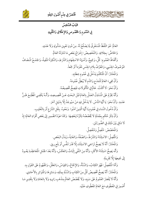



البَابُ السَّادِسُ

عُنْتَصَرٌ فِي عِلْمِ أُصُولِ الفِقْهِ

فِي العُمُومِ وَالخُصُوصِ وَالإِطْلَاقِ وَالتَّقْيِيدِ

العَامُّ: هُوَ اللَّفْظُ الْمُسْتَغْرِقُ لِلَايَصْلُحُ لَهُ. مِنْ دُونِ تَعْيِينِ مَدْلُولِهِ وَلَا عَدَدِهِ. وَالخَاصُّ: بخِلَافِهِ. وَالتَّخْصِيصُ: إِخْرَاجُ بَعْض مَا تَنَاوَلَهُ العَامُّ. وَأَلْفَاظُ العُمُوم: كُلٌّ، وَجَمِيعٌ، وَأَسْهَاءُ الاسْتِفْهَام وَالشَّرْطِ، وَالنَّكِرَةُ المَنْفِيةُ، وَالجَمْعُ المُضَافُ الَمْوْصُوفُ الجِنْسِي، وَالَمْرَّفُ بِلَامِ الجِنْسِ مُفْرَداً أَوْ جَمْعاً. وَالْمُخْتَارُ: أَنَّ الْتَكَلِّمَ يَدْخُلُ فِي عُمُومِ خِطَابِهِ. وَأَنَّ مِجِيءَ العَامِّ لَلْمَدْحِ وَالذَّمِ لَا يُبْطِلُ عُمُومَهُ. وَأَنَّ نَحْوَ: لَا أَكَلْتُ. عَامٌّ فِي المَّأْكُو لَاتٍ فَيَصِحُّ ثَخْصِيصُهُ. وَأَنَّهُ يَحْرُمُ عَلَى الْمُسْتَدِلِّ العَمْلُ بِالعَامِّ قَبْلَ البَحْثِ عَـنْ تَخْصِيـصِهِ، وَأَنَّـهُ يَكْفِـي الْمُطَّلِـعَ ظَـنُّ

عَدَمِهِ. وَأَنَّ نَحْوَ: يَا أَيُّهَا النَّاسُ. لَا يَدْخُلُ فِيهِ مَنْ سَيُوجَدُ إِلَّا بِدَلِيلِ آخَرَ.

وَأَنَّ دُخُولَ النِّسَاءِ فِي عُمُوم يَا أَيُّهَا الَّذِينَ آمَنُوا. وَنَحُوهُ. بِنَقْلِ الشَّرْعِ أَوْ بِالتَّغْلِيبِ.

وَأَنَّ ذِكْرَ حُكْمٍ بِجُمْلَةٍ لَا يُخَصِّصُهُ ذِكْرُهُ لِبَعْضِهَا. وَكَذَا عَوْدُ الضَّمِيرِ إِلَى بَعْض أَفْرَادِ العَامِّ؛ إِذْ لَا تِنَافِي بَيْنَ ذَلِكَ فِي الصُّورَتَيْنِ.

وَالْمُخَصِّصُ: مُتَّصِلٌ وَمُنْفَصِلٌ.

وَالْتَّصِلُ: الاسْتِثْنَاءُ وَالشَّرْطُ، وَالصِّفْةُ، وَالغَايةُ، وَبَدَلُ البَعْضِ.

وَالْمُخْتَارُ: أَنَّهُ لَا يَصِحُّ تَرَاخِي الاسْتِثْنَاءِ إِلَّا قَدْرَ تَنَفَّس أَوْ بَلْعٍ رِيقٍ.

وَأَنَّه يَصِحُّ اسْتِثْنَاءُ الأَكْثَرِ، وَأَنَّهُ مِنَ النَّفْيِ إِثْبَاتٌ وَالعَكْسُ، وَأَنَّهُ بَعْدَ الجُمْلِ الْمَعَاطِفَةِ يَعُـودُ إِلَى جَمِيعِهَا إِلَّا لِقَرِينَةٍ.

وَأَمَّا الْمُنْفَصِلُ: فَهُوَ الكِتَابُ، وَالسُّنَّةُ، وَالإِجْمَاعُ، وَالقِيَاسُ، وَالعَقْلُ، وَالمَفْهُومُ عَلَى القَوْلِ بِهِ.

وَالْمُخْتَارُ: أَنَّهُ يَصِحُّ تَخْصِيصُ كُلِّ مِنَ الكِتَابِ وَالسُّنَّةِ بِمِثْلِهِ، وَسَائِرِهَا وَالْمَتَوَاتِرِ بِالأَحَادِي.

وَأَنَّهُ لَا يُقْصَرُ العُمُومُ عَلَى سَبَبِهِ، وَلَا يُخَصَّصُ العَامُّ بِمَذْهَبٍ رَاوِيهِ وَلَا بِالعَادَةِ وَلَا بِتَقْدِيرِ مَـا أَصْمِرَ فِي الَمْطُوفِ مَعَ العَامِّ الْمَطُوفِ عَلَيْهِ.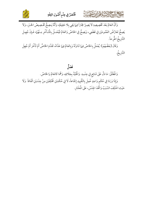



وَأَنَّ العَامَّ بَعْدَ تَخْصِيصِهِ لَا يَصِيرُ مَجَازاً فِيهَا بَقِي بِلَا حَقِيقَةٍ، وَأَنَّهُ يَصِحُّ تَخْصِيصُ الخَبْرِ، وَلَا يَصِحُّ تَعَارُضُ العُمُومَيْنِ فِي قَطْعِي، وَيَصِحُّ فِي الخَاصِّ وَالعَامِّ فَيُعْمَـلُ بِالْمَـأَخَّرِ مِـنْهُمَا، فَـإِنْ جُهِـلَ التَّارِيخُ اطُّرِحاً.

وَقَالَ [بَعْضُهُمْ]: يُعْمَلُ بِالخَاصِّ فِيهَا تَنَاوَلَهُ وَبِالعَامِّ فِيهَا عَدَّاهُ، تَقَدَّمَ الخَاصُّ أَمْ تَأَخَّرَ أَمْ جُهِلَ التَّارِيخُ.

فَصْلٌ

وَالْمُطْلَقُ: مَا دَلَّ عَلَى شَائِعٍ فِي جِنْسِهِ. وَالْمَقَيَّدُ بِخِلَافِهِ، وَهُمَا كَالعَامِّ وَالخَاصِّ. وَإِذَا وَرَدَا فِي حُكْمٍ وَاحِدٍ عُمِلَ بِالتَّقْيِيدِ إِجْمَاعاً، لَا فِي حُكْمَيْنِ مُخْتَلِفَيْنِ مِنْ جِنْسَيْنِ اتَّفَاقاً. وَلَا حَيْث اخْتُلِفَ السَّبَبُ وَاتَّحَدَ الجِنْسُ، عَلَى الْمُخْتَارِ.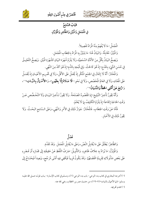



البَابُ السَّابِعُ في المُجْمَلِ وَالْمُبَيَّنِ وَالظَّاهِرِ وَالْمُؤَوَّلِ

عُتْصَرٌ فِي عِلْمِ أُصُولِ الفِقْهِ

الْمُجْمَلُ: مَا لَا يُفْهَمُ مِنْهُ الْمَرَادُ تَفْصِيلاً.

وَالْمُيَّنُّ: مُقَابِلُهُ. وَالبَيَانُ هُنَا: مَا يَتَبَيَّنُ بِهِ الْمَرَادُ بِالخِطَابِ الْمُجْمَلِ.

وَيَصِحُّ البَيَانُ بِكُلِّ مِنَ الأَدِّلَةِ السَّمْعِيَّةِ، وَلَا يَلْزَمُ شُهْرَة البَيَانِ كَشُهْرَةِ الْمُيَّنِ. وَيَصِحُّ التَّعْلِيـقُ فِي حُسْنِ الشَّيْءِ بِالمَدْحِ؛ إِذْ هُوَ كَالْحَثِّ. وَفِي قُبْحِهِ بِالذَّمِ؛ إِذْ هُوَ آكَدُ مِنَ النَّهْي.

وَالْمُخْتَارُ: أَنَّهُ لَا إِجْمَالَ فِي الجَمْعِ الْمُنْكَّرِ إِذْ يُحْمَلُ عَلَى الأَقَلِّ، وَلَا فِي تَحْرِيم الأَعْيَـانِ إِذْ يُحْمَـلُ عَلَى الْمُعْتَادِ، وَلَا فِي العَامِّ الْمُخَصَّصِ، وَلَا فِي نَحْوِ: «لَا **صَلَاةَ إِلَّا بِطَهُورِ**»، وَ«الأَعْمَالُ بِالنِّيَـاتِ» ···، وَ ((**رُفِعَ عَنْ أُمَّتِي الخَطَأُ وَالنِّسْيَانُ** »

وَأَنَّهُ يَجُوزُ تَأْخِيرُ التَّبْلِيغِ؛ إِذِ الَمَّصُودُ الَمَصْلَحَةُ. وَلَا يَجُوزُ تَأْخِيرُ البَيَـانِ وَلَا التَّخْـصُّص عَـنْ وَقْتِ الْحَاجَةِ إِجْمَاعاً؛ إِذْ يَلْزَمُ التَّكْلِيفُ بِمَا لَا يُعْلَمُ.

فَأَمَّا عَنْ وَقْتِ الخِطَابِ. فَالْمُخْتَارُ: جَوَازُ ذَلِكَ فِي الأَمْرِ وَالنَّهْيِ، وَعَلَى السَّامِع البَحْثُ. وَلَا يَجُوزُ ذَلِكَ في الأَخْبَارِ.

فَصْلٌ

وَالظَّاهِرُ: يُطْلَقُ عَلَى مَا يُقَابِلُ النَّصَّ، وَعَلَى مَا يُقَابِلُ الْمُجْمَلَ. وَقَدْ تَقَدَّمَ.

وَالْمُؤَوَّلُ: مَا يُرَادُ بِهِ خِلَافُ ظَاهِرِهِ. وَالتَّأْوِيلُ: صَرْفُ اللَّفْظِ عَنْ حَقِيقَتِهِ إِلَى مَجَـازِهِ أَوْ قَـصْرِهِ عَلَى بَعْضِ مَدْلُولَاتِهِ لِقَرِينَةٍ اقْتَضَتهُمَا. وَقَدْ يَكُونُ قَرِيباً فَيَكْفِي فِيهِ أَدْنَى مُرَجِّح، وَبَعِيداً فَيَحْتَـاجُ إِلَى

<sup>(``)</sup> أخرجه البخاري في كتاب بدء الوحي- باب بدء الوحي (١)، ومسلم في كتاب الإمـارة- بـاب قولـه صـلى الله عليـه وسلم: «إنها الأعمال بالنيات» (١٩٠٧)، من حديث عمر بن الخطاب رضي الله عنه. (۱۸) تقدم تخريجه.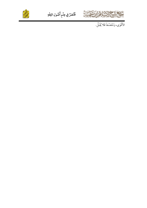



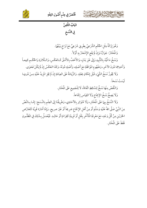



البَابُ الثَّامِنُ في النَّسْخ

عُنْتَصَرٌ فِي عِلْمِ أُصُولِ الفِقْهِ

وَهُوَ إِزَالَةُ مِثْلِ الحُكْمِ الشَّرْعِيِّ بِطَرِيقٍ شَرْعِيٍّ مَعَ تَرَاخ بَيْنَهُمَا. وَالْمُخْتَارُ: جَوَازُهُ وَإِنْ لَمْ يَقَعِ الإِشْعَارُ بِهِ أَوَّلاً.

وَنَسْخُ مَا قُيِّدَ بِالتَّأْبِيدِ وَإِلَى غَيْرِ بَدَلٍ، وَالأَخَفِّ بِالأَشَقِّ كَـالعَكْسِ، وَالـتِّلَاوَةِ وَالحُكْـم جَمِيعـاً وَأَحَدِهِمَا دُونَ الآخَرِ، وَمَفْهُومِ الْمَوَافَقَةِ مَعَ أَصْلِهِ، وَأَصْلِهِ دُونَهُ، وَكَذَا العَكْسُ إِنْ لَمْ يَكُنْ فَحَوَى.

وَلَا يَجُوزُ نَسْخُ الشَّيْءِ قَبْلَ إِمْكَانِ فِعْلِهِ. وَالزِّيَادَةُ عَلَى العِبَادَةِ إِنْ لَمْ يَجْزِ الَمزِيدُ عَلَيْهِ مِـنْ دُونِهَـا لَسْكَ نَسْخاً.

وَالنَّقْصُ مِنْهَا نَسْخٌ لِلسَّاقِطِ اتِّفَاقاً، لَا لِلْجَمِيعِ عَلَى الْمُخْتَارِ.

وَلَا يَصِحُّ نَسْخُ الإِجْماعِ وَلَا القِيَاسِ إِجْمَاعاً.

وَلَا النَّسْخُ بِهِمَا عَلَى الْمُخْتَارِ، وَلَا مُتَوَاتِر بِالآحَادِي، وَطَرِيقُنَا إِلَى العِلْمِ بِالنَّسْخِ: إِمَّـا بِـالنَّصِّ مِنَ النَّبِيِّ صَلَّى اللهُ عَلَيْهِ وَسَلَّمَ أَوْ مِنْ أَهْلِ الإِجْمَاعِ صَرِيحاً أَوْ غَيْرَ صريح. وَإِمَّا أَمَارَة قَوِيَّة كَتَعَارُضِ الخَبَرَيْنِ مِنُ كُلِّ وَجْهٍ، مَعَ مَعْرِفَةِ الْمَتَأَخِّرِ بِنَقْلِ أَوْ قَرِينَةٍ كَقِرَاءَةٍ أَوْ حَالِـهِ. فَيُعْمَـلُ بِـذَلِكَ فِي المَظْنُـونِ فَقَطْ عَلَى الْمُخْتَارِ.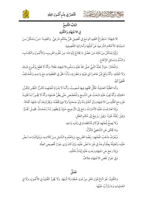غُنْصَرٌ فِي عِلْمِ أُصُولِ الفِقْهِ



البَابُ التَّاسِعُ

في الاجْتِهَادِ وَالتَّقْلِيدِ

الاجْتِهَادُ: اسْتِفْرَاغُ الفَقِيهِ الوَسْعَ فِي تَحْصِيلِ ظَنٍّ بِحُكْمٍ شَرْعِيٍّ. وَالفَقِيـهُ: مَـنْ يَـتَمَكَّنُ مِـنَ اسْتِنْبَاطِ الأَحْكَامِ الشَّرْعِيةِ عَنْ أَدِلَّتِهَا وَأَمَارَاتِهَا التَّفْصِيلِيةِ.

وَإِنَّهَا يَتَمَكَّنُ مِنْ ذَلِكَ مَنْ حَصَّلَ مَا يَخْتَاجُ إِلَيْهِ فنَّه: مِنْ عُلُوم الغَرِيبِ، وَالأُصُولِ وَالكِتَـابِ، وَالسُّنَّةِ وَمَسَائِلِ الإِجْمَاعِ.

وَالْمُخْتَارُ: جَوَازُ تَعَبُّدُ النَّبِيُّ صَلَّى اللهُ عَلَيْهِ وَسَلَّمَ بِالاجْتِهَادِ عَقْلاً، وَأَنَّهُ لَا قَطَعَ بِوُقُـوعٍ ذَلِـكَ وَلَا انْتِفَائِهِ. وَأَنَّهُ وَقَعَ مِمَّنْ عَاصَرَهُ فِي غَيْبَتِهِ وَحَضْرَتِهِ، وَأَنَّ الحَقَّ فِي القَطْعِيَاتِ مَعَ وَاحِـلٍ وَالْمُخَـالِفُ مُخْطِئٌ أَنْهُ.

وَأَمَا الظَّنْيةُ العَمَلِيةُ: فَكُلُّ مُجْتَهِدٍ فِيهَا مُـصِيبٌ، وَأَنَّـهُ لَا يَلْـزَمُ الْمُجْتَهِـدَ تَكَـرُّرُ النَّظَـرِ لِتَكَـرُّرِ الْحَادِثَةِ، وَأَنَّهُ يَجِبُ عَلَيْهِ البَحْثُ عَنِ النَّاسِخِ وَالْمُخَصِّصِ حَتَّى يَظُنَّ عَدَمَهَا، وَأَنَّهُ لَا يَجُـوزُ لَـهُ تَقْلِيـدُ غَيْرِهِ مَعَ تَمَكَّنِهِ مِنَ الاجْتِهَادِ وَلَوْ أَعْلَمُ مِنْهُ وَلَوْ صَحَابِيّاً وَلَا فِيهَا يَخُصُّهُ، وَيَحْرُمُ بَعْدَ أَنِ اجْتَهَدَ اتَّفَاقاً.

وَإِذَا تَعَارَضَتْ عَلَيْهِ الأَمَارَاتُ رَجَعَ إِلَى التَّرْجِيحِ، فَإِنْ لَمْ يَظْهَـرْ لَـهُ رُجْحَـانٌ. فَقِــلَ: يُخَـيَّرُ. وَقِيلَ: يُقَلِّدُ غَيْرَهُ. وَقِيلَ: يَرْجِعُ إِلَى حُكْمِ العَقْلِ.

وَلَا يَصِحُّ لِمُجْتَهِدٍ قَوْلَانِ مُتَنَاقِضَانِ فِي وَقْتٍ وَاحِدٍ.

وَمَا يُحْكَى عَنِ الشَّافِعِيِّ مُتَأَوَّلٌ.

وَيُعْرَفُ مَذْهَبُ الْمُجْتَهِدِ: بِنَصِّهِ الصَّرِيحِ، وَبِالعُمُومِ الشَّامِلِ مِنَ كَلَامِهِ، وَبِمُهَاثَلَةِ مَـا نَـصَّ عَلَيْهِ، وَتَعَلِيلُهُ بِعِلَّةٍ تُوجَدُ فِي غَيْرِ مَا نَصَّ عَلَيْهِ، وَإِنْ كَانَ يَرَى جَوَازَ تَخْصِيص العِلَّةِ. وَإِذَا رَجَعَ عَنِ اجْتِهَادٍ وَجَبَ عَلَيْهِ إِيْذَانُ مُقَلِّدِهِ.

وَفِي جَوَازِ نَقْضِ الاجْتِهَادِ خِلَافٌ.

#### فَضَلَّ

وَالتَّقْلِيدُ: هُوَ اتِّبَاعُ قَوْلِ الغَيْرِ مِنْ دُونِ حُجَّةٍ وَلَا شُبْهَةٍ. وَلَا يَجُوزُ التَّقْلِيدُ في الأُصُولِ، وَلَا فِي العَمَلِياتِ وَمَا يَتَرَتَّبُ عَلَيْهَا.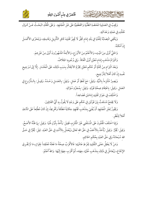



وَيَجِبُ فِي العَمَلِيةِ الَحْضَةِ الظَّنِّيةِ وَالقَطْعِيَّةِ عَلَى غَيْرِ الْمُجْتَهِدِ. وَعَلَى الْمَقَلِّدِ البَحْثُ عَـنْ كَـهَالِ مُقَلَّدِهِ فِي عَمَلِهِ وَعَدَالَتِهِ.

وَيَكْفِي انْتِصَابُهُ لِلْفُتْيَا فِي بَلَدِ إِمَامٍ مُحِقٍّ لَا يُجِيزُ تَقْلِيدَ كَافِرِ التَّأْوِيلِ وَفَاسِقِهِ، وَيَتَحَرَّى الأَكْمَـلَ إِنْ أَمْكَنَهُ.

وَالْحَيُّ أَوْلَى مِنَ الَمْيتِ، وَالأَعْلَمُ مِنَ الأَوْرَعِ، وَالأَئِمَةُ الَمْشْهُورُونَ أَوْلَى مِنْ غَيْرِهِمْ.

وَالْتِزَامُ مَذْهَبٍ إِمَامٍ مُعَيَّنٍ أَوْلَى اتِّفَاقاً. وَفِي وُجُوبِهِ الخِلَافُ.

وَبَعْدَ الْتِزَامِ مِنْ جُمْلَةٍ أَوْ حُكْمٍ مُعَيَّنٍ يَحْرُمُ الانْتِقَالُ بِسَبَبِ ذَلِكَ، عَلَى الْمُخْتَارِ. إِلَّا إِلَى تَـرْجِيح نَفْسِهِ إِنْ كَانَ أَهْلاً لِلتَّرْجِيحِ.

وَيَصِيرُ مُلْتَزِماً بِالنَّيَّةِ. وَقِيلَ: مَعَ لَفْظٍ أَوْ عَمَلٍ. وَقِيلَ: بِالعَمَـلِ وَحْـدَهُ. وَقِيـلَ: بِالـشُّرُوعِ فِي العَمَلِ. وَقِيلَ: باعْتِقَادِ صِحَّةِ قَوْلِهِ. وَقِيلَ: بِمُجَرَّدِ سُؤَالِهِ.

وَاخْتُٰلِفَ فِي جَوَازِ تَقْلِيدِ إِمَامَيْنِ فَصَاعِداً.

وَلَا يَجْمَعُ مُسْتَفتٌ بِيْنَ قَوْلَيْنِ فِي حُكْمٍ عَلَى وَجْهٍ لَا يَقُولُ بِهِ أَيُّ القَائِلِينَ.

وَيَجُوزُ لِغَيْرِ الْمُجْتَهِدِ أَنْ يُفْتِيَ بِمَذْهَبٍ مُجْتَهِدٍ حِكَايَةً مُطْلَقاً وَتَخْرِيجاً، إِنْ كَانَ مُطَّلِعاً عَلَى المَآخِذِ أَهْلاً لِلنَّظَرِ .

وَإِذِا اخْتَلَفَ الْمُثْوُنَ عَلَى الْمُسْتَفْتِي غَيْرَ الْمُلْتَزِمِ، فَقِيلَ: يَأْخُذُ بِأَوَّلِ فُتْيَا. وَقِيلَ: يِمَا ظَنَّهُ الأَصَحَّ. وَقِيلَ: يُخَيَّرُ. وَقِيلَ: يُأْخَذُ بِالأَخَفِّ فِي حَقِّ الله تَعَالَى وَيُعْمَلُ بِالأَشْدِ فِي حَقِّ العَبْدِ. قِيلَ: يُخَيَّرُ فِي حَقِّ الله سُبْحَانَهُ وَفِي حَقِّ العَبْدِ بِحُكْمِ الحَاكِمِ.

وَمَنْ لَا يَعْقِلُ مَعْنَى التَّقْلِيدِ لِفَرْطِ عَامِّيَتِهِ: فَالأَقْرَبُ صِحَّةُ مَا فَعَلَهُ مُعْتَقِداً لجَوَازِهِ مَا لَمْ يَخْرِقِ الإِجْمَاعَ، وَيُعَامَلُ فِي ذَلِكَ بِمَذْهَبٍ عُلَمَاءِ جِهَته، ثُمَّ أَقْرَبٍ جِهَةٍ إِلَيْهَا. وَاللهُ أَعْلَمُ.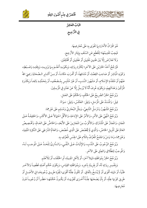



البَابُ العَاشِرُ فِي التَّرْجِيحِ

عُتْصَرٌ فِي عِلْمِ أُصُولِ الفِقْهِ

هُوَ اقْتِرَانُ الأَمَارَةِ بِمَا تَقْوَى بِهِ عَلَى مُعَارِضِهَا. فَيَجِبُ تَقْدِيمُهَا؛ لِلْقَطْعِ عَنِ السَّلَفِ بِإِيثَارِ الأَرْجِحِ. وَلَا تَعَارُضَ إِلَّا بَيْنَ ظَنيينِ نَقْلِيْنِ أَوْ عَقْلِيِيْنِ أَوْ مُخْتَلِفَيْنِ.

فَيُرَجَّحُ أَحَدُ الْخَبَرَيْنِ عَلَى الآخَرِ؛ لِكَثْرَةِ رِوَاتِهِ، وَبِكَوْنِـهِ أَعْلَـمَ بِـمَا يَرْوِيـهِ، وَبِثِقَتِـهِ وَضَـبْطِهِ، وَكَوْنِهِ الْمُبَاشِرَ أَوْ صَاحِبَ القِصَّةِ، أَوْ مُشَافِهاً، أَوْ أَقْـرَبَ مَكَانـاً، أَوْ مِـنْ أَكَـابِرِ الـصَّحَابَةِ رَضِيَ اللهُ عَنْهُمْ أَوْ مُتَقَدِّمَ الإِسْلَامِ، أَوْ مَشْهُورَ النَّسَبِ، أَوْ غَيْرَ مُلْتَبِسِ بِمُـضَعَّفٍ، أَوْ بِتَحَمُّلِـهِ بَالِغــاً وَبِكَثْـرَةِ الْمَرْكِّينَ وَعَدَالَتِهِمْ، وَبِكَوْنِهِ عُرِفَ أَنَّهُ لَا يُرْسِلُ إِلَّا عَنْ عَدْلٍ فِي الْمُرْسِلِينَ.

وَيُرَجَّحُ الْخَبَرُ الصَّرِيحُ عَلَى الْحُكْمِ، وَالْحُكْمُ عَلَى الْعَمَلِ.

قِيلَ: وَالْمُسْنَدُ عَلَى الْمُرْسَلِ، وَقِيلَ: العَكْسُ، وَقِيلَ: سَوَاءٌ.

وَيْرَجَّحْ الَمَشْهُورُ وَمُرْسَلُ التَّابِعِيِّ، وَمِثْلُ البُخَارِيِّ وَمُسْلِم عَلَى غَيْرِهِمَا.

وَيُرَجَّحُ النَّهْيُ عَلَى الأَمْرِ، وَالأَمْرُ عَلَى الإِبَاحَةِ، وَالأَقْلُ احْتِهَالاً عَـلَى الأَكْثَـرِ، وَالحَقِيقَـةُ عَـلَى المَجَازِ، وَالمَجَازُ عَلَى الْمُشْتَرَكِ، وَالأَقْرَبُ مِنَ المَجَازِينَ عَلَى الأَبْعَدِ، وَالخَاصُّ عَلَى العَـامِّ، وَتَخْـصِيصُ العَامِّ عَلَى تَأْوِيلِ الخَاصِّ، وَالَّذِي لَمْ يُخَصَّصْ عَلَى الَّذِي خُصِّصَ، وَالعَامُّ الشَّرْطِي عَلَى النَّكِرَةِ المَنْفِيةِ، وَغَيْرِهِمَا، وَمَا وَمَنْ وَالْجَمْعُ الْمُعَرَّفُ بِاللَّامِ عَلَى الْجِنْسِ الْمُعَرَّفِ بِهِ.

وَيُرَجَّحُ الوُجُوبُ عَلَى النَّدْبِ، وَالإِثْبَاتُ عَـلَى النَّفْـيِ، وَالـدَّارِئُ لِلْحَـدِّ عَـلَى الْموجبِ لَـهُ، وَالْمُوجِبُ لِلطَّلَاقِ وَالعِتْقِ عَلَى الآخَرِ.

وَيُرَجَّحُ الْخَبَرُ بِمُوَافَقَتِهِ دَلِيلاً آخَرَ، أَوْ لِأَهْلِ الْمَدِينَةِ، أَوِ الخُلَفَاءِ، أَوْ لِلْأَعْلَم.

وَبِتَفْسِيرِ رِوَاتِهِ لَهُ، أَوْ بِقَرِينَةٍ بِآخِرِهِ. وَبِمُوَافَقَتِهِ القِيَاسِ، وَبِكَوْنِ حُكْم أَصْلِهِ قَطْعِيـاً وَالآخَـرِ ظَنِّيًّا، أَوْ دَلِيله أَقْوَى أَوْ لَمْ يُنْسَخُ بِاتِّفَاقٍ. أَوْ تَكُونُ عِلَّتُهُ أَقْوَى؛ لِقُوْةِ طَرِيـقِ وُجُودِهَـا فِي الأَصْـل أَوْ طَرِيقِ كَوْنِهَا عِلَّةٍ، أَوْ بِأَنْ يَصْحَبَهَا عِلَّـةٌ أُخْـرَى ثُقَوِّيهَـا، أَوْ يَكُـونُ حُكْمُهَـا حَظْـراً أَوْ وُجُوبـاً دُونَ مُعَارِضِهَا.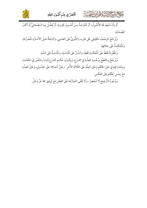



.<br>أَوْ بأَنْ تَشْهَدَ لَهَا الأُصُولُ، أَوْ مُنْتَزَعَـةٌ مِـنْ أُصُـولٍ كَثِـيرَةٍ، أَوْ يُعَلِّـلُ بِهَـا الـصَّحَابِيُّ أَوْ أَكْثَـرُ الصَّحَابَةِ.

وَيُرجَّحُ الوَصْفُ الْحَقِيقِي عَلَى غَيْرِهِ، وَالثُّبُوتِيُّ عَلَى العَدَمِي، وَالبَاعِثَةُ عَـلَى الأَمَـارَةِ الْمُجَـرَّدَةِ، وَالْمُنْعَكَسَةُ عَلَى خِلَافِهَا.

وَالْمُطَّرِدَةُ فَقَطْ عَلَى الْمُنْعَكَسَةِ فَقَطْ، وَالسَّبْرُ عَلَى الْمَاسَبَةِ، وَالْمَاسَبَةُ عَلَى الشَّبَهِ.

وَيُرَجَّحُ بِالقَطْعِ بِوُجُـودِ العِلَّةِ فِي الفَـرْعِ، وَبِكَـوْنِ حُكْـمِ الفَـرْعِ ثَابِتـاً بِـالنَّصِّ فِي الجُمْلَـةِ، وَبِمُشَارَكِتِهِ فِي عَيْنِ الحُكْمِ وَعَيْنِ العِلَّةِ عَلَى الثَّلَاثَةِ الأُخَرِ. وَعَيْنُ أَحَدِهِمَا عَلَى الجِنْسَيْنِ، وَعَيْنُ العِلَّـةِ مَعَ جِنْس الحُكْمِ عَلَى العَكْسِ.

وَوُجُوهُ التَّرْجِيحِ لَا تَنْحَصِرُ، وَلَا يَخْفَى اعْتِبَارُهَا عَلَى الفِطَنِ مَعَ تَوْفِيقِ الله عَزَّ وَجَلَّ.